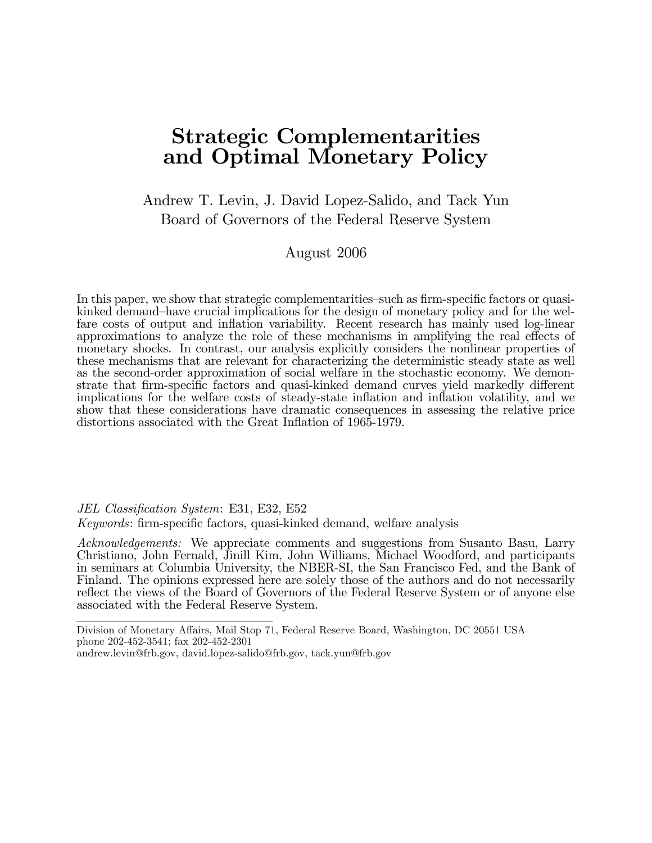# Strategic Complementarities and Optimal Monetary Policy

Andrew T. Levin, J. David Lopez-Salido, and Tack Yun Board of Governors of the Federal Reserve System

August 2006

In this paper, we show that strategic complementarities-such as firm-specific factors or quasikinked demand-have crucial implications for the design of monetary policy and for the welfare costs of output and inflation variability. Recent research has mainly used log-linear approximations to analyze the role of these mechanisms in amplifying the real effects of monetary shocks. In contrast, our analysis explicitly considers the nonlinear properties of these mechanisms that are relevant for characterizing the deterministic steady state as well as the second-order approximation of social welfare in the stochastic economy. We demonstrate that firm-specific factors and quasi-kinked demand curves yield markedly different implications for the welfare costs of steady-state inflation and inflation volatility, and we show that these considerations have dramatic consequences in assessing the relative price distortions associated with the Great Inflation of 1965-1979.

JEL Classification System: E31, E32, E52

Keywords: firm-specific factors, quasi-kinked demand, welfare analysis

Acknowledgements: We appreciate comments and suggestions from Susanto Basu, Larry Christiano, John Fernald, Jinill Kim, John Williams, Michael Woodford, and participants in seminars at Columbia University, the NBER-SI, the San Francisco Fed, and the Bank of Finland. The opinions expressed here are solely those of the authors and do not necessarily reflect the views of the Board of Governors of the Federal Reserve System or of anyone else associated with the Federal Reserve System.

Division of Monetary Affairs, Mail Stop 71, Federal Reserve Board, Washington, DC 20551 USA phone 202-452-3541; fax 202-452-2301 andrew.levin@frb.gov, david.lopez-salido@frb.gov, tack.yun@frb.gov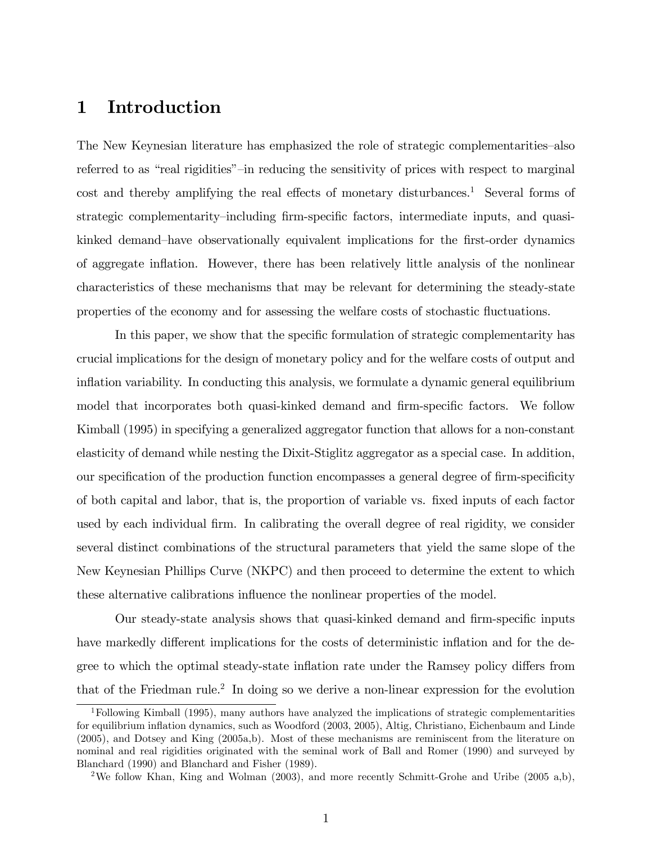# 1 Introduction

The New Keynesian literature has emphasized the role of strategic complementarities—also referred to as "real rigidities"-in reducing the sensitivity of prices with respect to marginal cost and thereby amplifying the real effects of monetary disturbances.<sup>1</sup> Several forms of strategic complementarity–including firm-specific factors, intermediate inputs, and quasikinked demand-have observationally equivalent implications for the first-order dynamics of aggregate ináation. However, there has been relatively little analysis of the nonlinear characteristics of these mechanisms that may be relevant for determining the steady-state properties of the economy and for assessing the welfare costs of stochastic fluctuations.

In this paper, we show that the specific formulation of strategic complementarity has crucial implications for the design of monetary policy and for the welfare costs of output and inflation variability. In conducting this analysis, we formulate a dynamic general equilibrium model that incorporates both quasi-kinked demand and firm-specific factors. We follow Kimball (1995) in specifying a generalized aggregator function that allows for a non-constant elasticity of demand while nesting the Dixit-Stiglitz aggregator as a special case. In addition, our specification of the production function encompasses a general degree of firm-specificity of both capital and labor, that is, the proportion of variable vs. Öxed inputs of each factor used by each individual firm. In calibrating the overall degree of real rigidity, we consider several distinct combinations of the structural parameters that yield the same slope of the New Keynesian Phillips Curve (NKPC) and then proceed to determine the extent to which these alternative calibrations influence the nonlinear properties of the model.

Our steady-state analysis shows that quasi-kinked demand and firm-specific inputs have markedly different implications for the costs of deterministic inflation and for the degree to which the optimal steady-state inflation rate under the Ramsey policy differs from that of the Friedman rule.<sup>2</sup> In doing so we derive a non-linear expression for the evolution

<sup>1</sup>Following Kimball (1995), many authors have analyzed the implications of strategic complementarities for equilibrium ináation dynamics, such as Woodford (2003, 2005), Altig, Christiano, Eichenbaum and Linde (2005), and Dotsey and King (2005a,b). Most of these mechanisms are reminiscent from the literature on nominal and real rigidities originated with the seminal work of Ball and Romer (1990) and surveyed by Blanchard (1990) and Blanchard and Fisher (1989).

<sup>2</sup>We follow Khan, King and Wolman (2003), and more recently Schmitt-Grohe and Uribe (2005 a,b),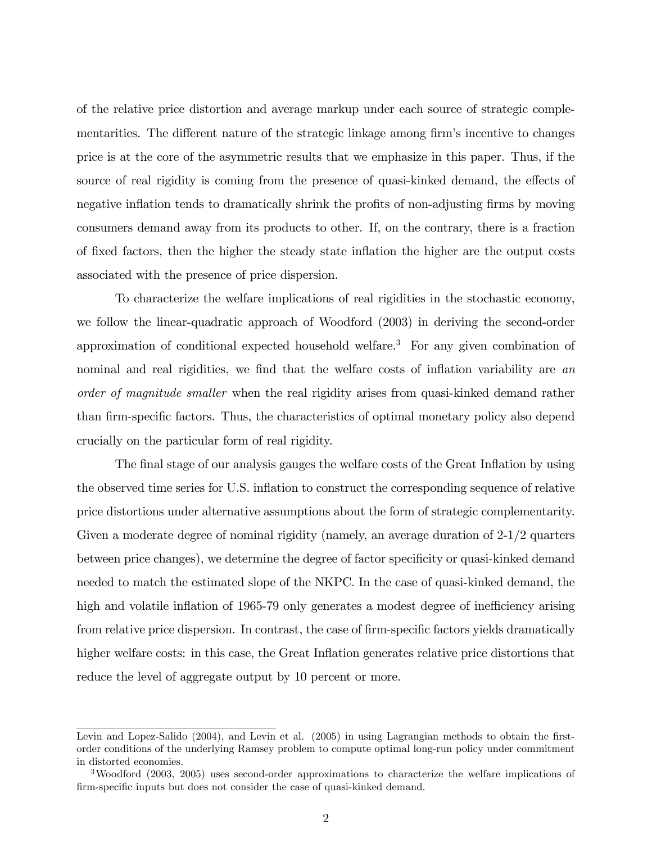of the relative price distortion and average markup under each source of strategic complementarities. The different nature of the strategic linkage among firm's incentive to changes price is at the core of the asymmetric results that we emphasize in this paper. Thus, if the source of real rigidity is coming from the presence of quasi-kinked demand, the effects of negative inflation tends to dramatically shrink the profits of non-adjusting firms by moving consumers demand away from its products to other. If, on the contrary, there is a fraction of Öxed factors, then the higher the steady state ináation the higher are the output costs associated with the presence of price dispersion.

To characterize the welfare implications of real rigidities in the stochastic economy, we follow the linear-quadratic approach of Woodford (2003) in deriving the second-order approximation of conditional expected household welfare.<sup>3</sup> For any given combination of nominal and real rigidities, we find that the welfare costs of inflation variability are an order of magnitude smaller when the real rigidity arises from quasi-kinked demand rather than firm-specific factors. Thus, the characteristics of optimal monetary policy also depend crucially on the particular form of real rigidity.

The final stage of our analysis gauges the welfare costs of the Great Inflation by using the observed time series for U.S. inflation to construct the corresponding sequence of relative price distortions under alternative assumptions about the form of strategic complementarity. Given a moderate degree of nominal rigidity (namely, an average duration of 2-1/2 quarters between price changes), we determine the degree of factor specificity or quasi-kinked demand needed to match the estimated slope of the NKPC. In the case of quasi-kinked demand, the high and volatile inflation of 1965-79 only generates a modest degree of inefficiency arising from relative price dispersion. In contrast, the case of firm-specific factors yields dramatically higher welfare costs: in this case, the Great Inflation generates relative price distortions that reduce the level of aggregate output by 10 percent or more.

Levin and Lopez-Salido  $(2004)$ , and Levin et al.  $(2005)$  in using Lagrangian methods to obtain the firstorder conditions of the underlying Ramsey problem to compute optimal long-run policy under commitment in distorted economies.

<sup>&</sup>lt;sup>3</sup>Woodford (2003, 2005) uses second-order approximations to characterize the welfare implications of firm-specific inputs but does not consider the case of quasi-kinked demand.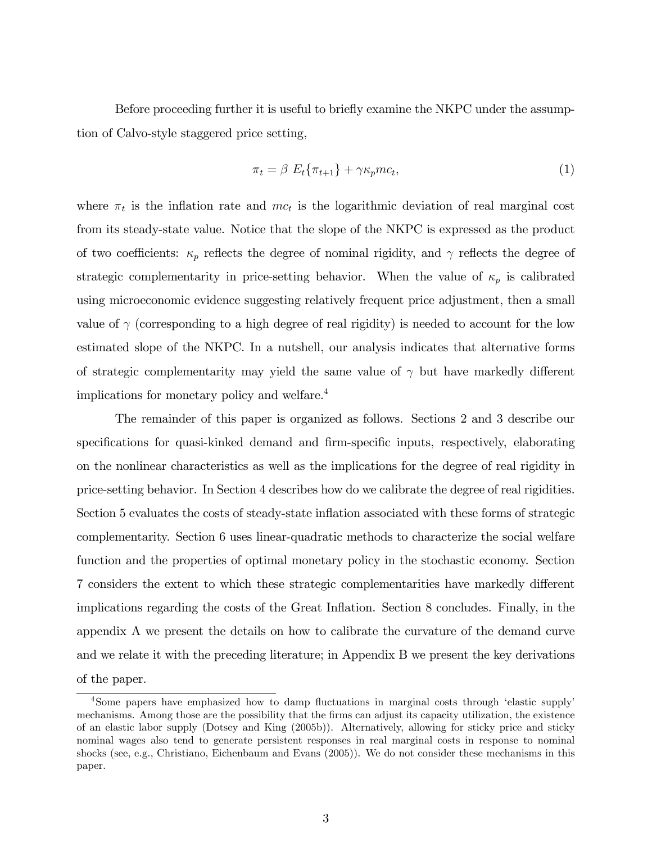Before proceeding further it is useful to briefly examine the NKPC under the assumption of Calvo-style staggered price setting,

$$
\pi_t = \beta \ E_t \{\pi_{t+1}\} + \gamma \kappa_p m c_t,\tag{1}
$$

where  $\pi_t$  is the inflation rate and  $mc_t$  is the logarithmic deviation of real marginal cost from its steady-state value. Notice that the slope of the NKPC is expressed as the product of two coefficients:  $\kappa_p$  reflects the degree of nominal rigidity, and  $\gamma$  reflects the degree of strategic complementarity in price-setting behavior. When the value of  $\kappa_p$  is calibrated using microeconomic evidence suggesting relatively frequent price adjustment, then a small value of  $\gamma$  (corresponding to a high degree of real rigidity) is needed to account for the low estimated slope of the NKPC. In a nutshell, our analysis indicates that alternative forms of strategic complementarity may yield the same value of  $\gamma$  but have markedly different implications for monetary policy and welfare.<sup>4</sup>

The remainder of this paper is organized as follows. Sections 2 and 3 describe our specifications for quasi-kinked demand and firm-specific inputs, respectively, elaborating on the nonlinear characteristics as well as the implications for the degree of real rigidity in price-setting behavior. In Section 4 describes how do we calibrate the degree of real rigidities. Section 5 evaluates the costs of steady-state inflation associated with these forms of strategic complementarity. Section 6 uses linear-quadratic methods to characterize the social welfare function and the properties of optimal monetary policy in the stochastic economy. Section 7 considers the extent to which these strategic complementarities have markedly different implications regarding the costs of the Great Inflation. Section 8 concludes. Finally, in the appendix A we present the details on how to calibrate the curvature of the demand curve and we relate it with the preceding literature; in Appendix B we present the key derivations of the paper.

<sup>&</sup>lt;sup>4</sup>Some papers have emphasized how to damp fluctuations in marginal costs through 'elastic supply' mechanisms. Among those are the possibility that the firms can adjust its capacity utilization, the existence of an elastic labor supply (Dotsey and King (2005b)). Alternatively, allowing for sticky price and sticky nominal wages also tend to generate persistent responses in real marginal costs in response to nominal shocks (see, e.g., Christiano, Eichenbaum and Evans (2005)). We do not consider these mechanisms in this paper.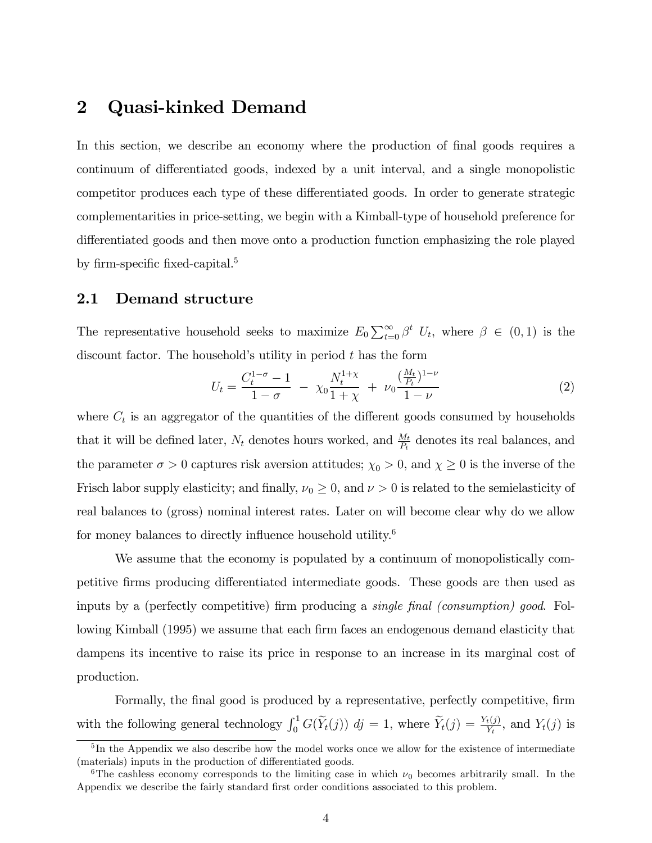# 2 Quasi-kinked Demand

In this section, we describe an economy where the production of final goods requires a continuum of differentiated goods, indexed by a unit interval, and a single monopolistic competitor produces each type of these differentiated goods. In order to generate strategic complementarities in price-setting, we begin with a Kimball-type of household preference for differentiated goods and then move onto a production function emphasizing the role played by firm-specific fixed-capital.<sup>5</sup>

## 2.1 Demand structure

The representative household seeks to maximize  $E_0 \sum_{t=0}^{\infty} \beta^t U_t$ , where  $\beta \in (0,1)$  is the discount factor. The household's utility in period  $t$  has the form

$$
U_t = \frac{C_t^{1-\sigma} - 1}{1-\sigma} - \chi_0 \frac{N_t^{1+\chi}}{1+\chi} + \nu_0 \frac{(\frac{M_t}{P_t})^{1-\nu}}{1-\nu}
$$
(2)

where  $C_t$  is an aggregator of the quantities of the different goods consumed by households that it will be defined later,  $N_t$  denotes hours worked, and  $\frac{M_t}{P_t}$  denotes its real balances, and the parameter  $\sigma > 0$  captures risk aversion attitudes;  $\chi_0 > 0$ , and  $\chi \ge 0$  is the inverse of the Frisch labor supply elasticity; and finally,  $\nu_0 \ge 0$ , and  $\nu > 0$  is related to the semielasticity of real balances to (gross) nominal interest rates. Later on will become clear why do we allow for money balances to directly influence household utility.<sup>6</sup>

We assume that the economy is populated by a continuum of monopolistically competitive firms producing differentiated intermediate goods. These goods are then used as inputs by a (perfectly competitive) firm producing a *single final (consumption) good*. Following Kimball (1995) we assume that each firm faces an endogenous demand elasticity that dampens its incentive to raise its price in response to an increase in its marginal cost of production.

Formally, the final good is produced by a representative, perfectly competitive, firm with the following general technology  $\int_0^1 G(\widetilde{Y}_t(j)) d j = 1$ , where  $\widetilde{Y}_t(j) = \frac{Y_t(j)}{Y_t}$ , and  $Y_t(j)$  is

<sup>&</sup>lt;sup>5</sup>In the Appendix we also describe how the model works once we allow for the existence of intermediate (materials) inputs in the production of differentiated goods.

<sup>&</sup>lt;sup>6</sup>The cashless economy corresponds to the limiting case in which  $\nu_0$  becomes arbitrarily small. In the Appendix we describe the fairly standard first order conditions associated to this problem.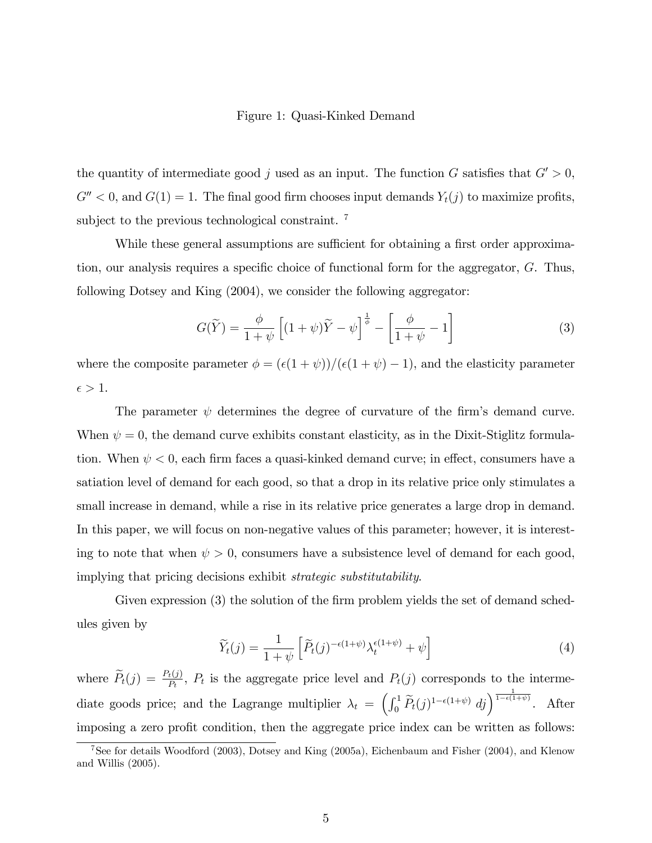#### Figure 1: Quasi-Kinked Demand

the quantity of intermediate good j used as an input. The function G satisfies that  $G' > 0$ ,  $G'' < 0$ , and  $G(1) = 1$ . The final good firm chooses input demands  $Y_t(j)$  to maximize profits, subject to the previous technological constraint.<sup>7</sup>

While these general assumptions are sufficient for obtaining a first order approximation, our analysis requires a specific choice of functional form for the aggregator,  $G$ . Thus, following Dotsey and King (2004), we consider the following aggregator:

$$
G(\widetilde{Y}) = \frac{\phi}{1+\psi} \left[ (1+\psi)\widetilde{Y} - \psi \right]^{\frac{1}{\phi}} - \left[ \frac{\phi}{1+\psi} - 1 \right]
$$
 (3)

where the composite parameter  $\phi = (\epsilon(1 + \psi)) / (\epsilon(1 + \psi) - 1)$ , and the elasticity parameter  $\epsilon > 1$ .

The parameter  $\psi$  determines the degree of curvature of the firm's demand curve. When  $\psi = 0$ , the demand curve exhibits constant elasticity, as in the Dixit-Stiglitz formulation. When  $\psi$  < 0, each firm faces a quasi-kinked demand curve; in effect, consumers have a satiation level of demand for each good, so that a drop in its relative price only stimulates a small increase in demand, while a rise in its relative price generates a large drop in demand. In this paper, we will focus on non-negative values of this parameter; however, it is interesting to note that when  $\psi > 0$ , consumers have a subsistence level of demand for each good, implying that pricing decisions exhibit strategic substitutability.

Given expression (3) the solution of the firm problem yields the set of demand schedules given by

$$
\widetilde{Y}_t(j) = \frac{1}{1+\psi} \left[ \widetilde{P}_t(j)^{-\epsilon(1+\psi)} \lambda_t^{\epsilon(1+\psi)} + \psi \right] \tag{4}
$$

where  $\widetilde{P}_t(j) = \frac{P_t(j)}{P_t}$ ,  $P_t$  is the aggregate price level and  $P_t(j)$  corresponds to the intermediate goods price; and the Lagrange multiplier  $\lambda_t = \left(\int_0^1 \widetilde{P}_t(j)^{1-\epsilon(1+\psi)} d_j\right)^{\frac{1}{1-\epsilon(1+\psi)}}$ . After imposing a zero profit condition, then the aggregate price index can be written as follows:

 $7$ See for details Woodford (2003), Dotsey and King (2005a), Eichenbaum and Fisher (2004), and Klenow and Willis (2005).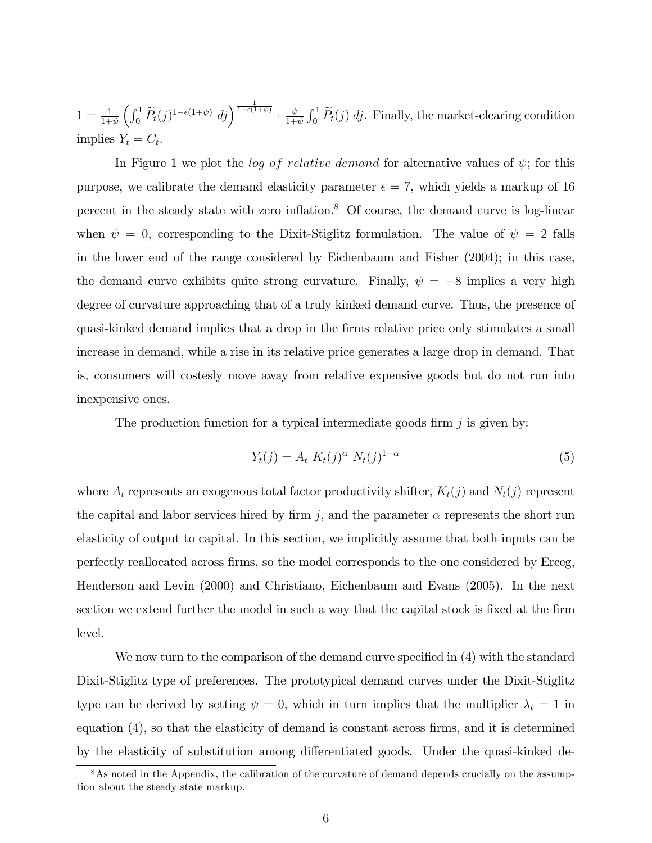$1 = \frac{1}{1+\psi} \left( \int_0^1 \widetilde{P}_t(j)^{1-\epsilon(1+\psi)} \, dj \right)^{\frac{1}{1-\epsilon(1+\psi)}} + \frac{\psi}{1+\psi}$  $\frac{\psi}{1+\psi} \int_0^1 \tilde{P}_t(j) \, dj$ . Finally, the market-clearing condition implies  $Y_t = C_t$ .

In Figure 1 we plot the *log of relative demand* for alternative values of  $\psi$ ; for this purpose, we calibrate the demand elasticity parameter  $\epsilon = 7$ , which yields a markup of 16 percent in the steady state with zero inflation. $8$  Of course, the demand curve is log-linear when  $\psi = 0$ , corresponding to the Dixit-Stiglitz formulation. The value of  $\psi = 2$  falls in the lower end of the range considered by Eichenbaum and Fisher (2004); in this case, the demand curve exhibits quite strong curvature. Finally,  $\psi = -8$  implies a very high degree of curvature approaching that of a truly kinked demand curve. Thus, the presence of quasi-kinked demand implies that a drop in the Örms relative price only stimulates a small increase in demand, while a rise in its relative price generates a large drop in demand. That is, consumers will costesly move away from relative expensive goods but do not run into inexpensive ones.

The production function for a typical intermediate goods firm  $j$  is given by:

$$
Y_t(j) = A_t K_t(j)^{\alpha} N_t(j)^{1-\alpha} \tag{5}
$$

where  $A_t$  represents an exogenous total factor productivity shifter,  $K_t(j)$  and  $N_t(j)$  represent the capital and labor services hired by firm j, and the parameter  $\alpha$  represents the short run elasticity of output to capital. In this section, we implicitly assume that both inputs can be perfectly reallocated across Örms, so the model corresponds to the one considered by Erceg, Henderson and Levin (2000) and Christiano, Eichenbaum and Evans (2005). In the next section we extend further the model in such a way that the capital stock is fixed at the firm level.

We now turn to the comparison of the demand curve specified in  $(4)$  with the standard Dixit-Stiglitz type of preferences. The prototypical demand curves under the Dixit-Stiglitz type can be derived by setting  $\psi = 0$ , which in turn implies that the multiplier  $\lambda_t = 1$  in equation (4), so that the elasticity of demand is constant across firms, and it is determined by the elasticity of substitution among differentiated goods. Under the quasi-kinked de-

<sup>&</sup>lt;sup>8</sup>As noted in the Appendix, the calibration of the curvature of demand depends crucially on the assumption about the steady state markup.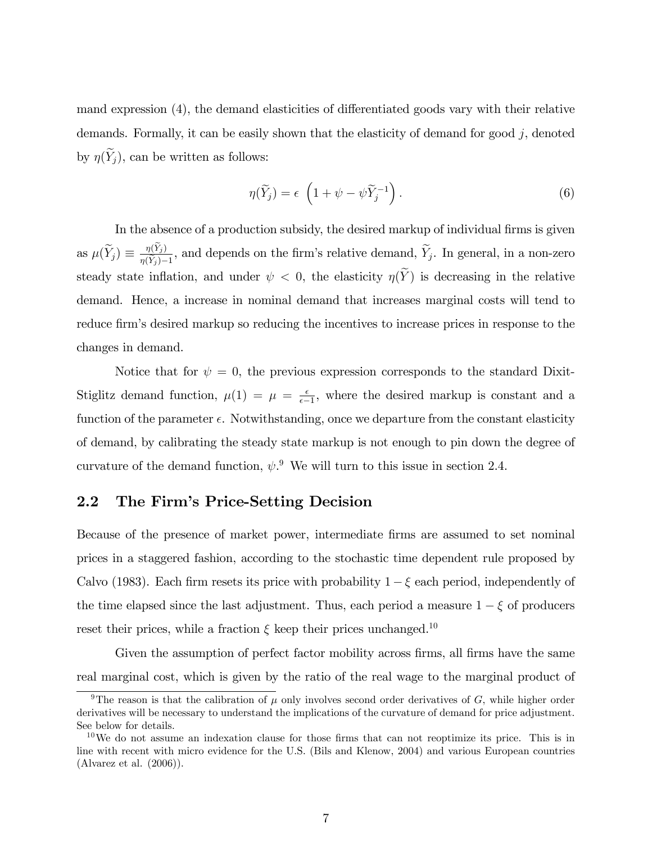mand expression  $(4)$ , the demand elasticities of differentiated goods vary with their relative demands. Formally, it can be easily shown that the elasticity of demand for good  $j$ , denoted by  $\eta(\widetilde{Y}_j)$ , can be written as follows:

$$
\eta(\widetilde{Y}_j) = \epsilon \left( 1 + \psi - \psi \widetilde{Y}_j^{-1} \right). \tag{6}
$$

In the absence of a production subsidy, the desired markup of individual firms is given as  $\mu(\widetilde{Y}_j) \equiv \frac{\eta(Y_j)}{\eta(\widetilde{Y}_j)-1}$  $\frac{\eta(Y_j)}{\eta(Y_j)-1}$ , and depends on the firm's relative demand,  $Y_j$ . In general, in a non-zero steady state inflation, and under  $\psi < 0$ , the elasticity  $\eta(Y)$  is decreasing in the relative demand. Hence, a increase in nominal demand that increases marginal costs will tend to reduce firm's desired markup so reducing the incentives to increase prices in response to the changes in demand.

Notice that for  $\psi = 0$ , the previous expression corresponds to the standard Dixit-Stiglitz demand function,  $\mu(1) = \mu = \frac{\epsilon}{\epsilon}$  $\frac{\epsilon}{\epsilon-1}$ , where the desired markup is constant and a function of the parameter  $\epsilon$ . Notwithstanding, once we departure from the constant elasticity of demand, by calibrating the steady state markup is not enough to pin down the degree of curvature of the demand function,  $\psi$ . We will turn to this issue in section 2.4.

# 2.2 The Firm's Price-Setting Decision

Because of the presence of market power, intermediate firms are assumed to set nominal prices in a staggered fashion, according to the stochastic time dependent rule proposed by Calvo (1983). Each firm resets its price with probability  $1 - \xi$  each period, independently of the time elapsed since the last adjustment. Thus, each period a measure  $1 - \xi$  of producers reset their prices, while a fraction  $\xi$  keep their prices unchanged.<sup>10</sup>

Given the assumption of perfect factor mobility across firms, all firms have the same real marginal cost, which is given by the ratio of the real wage to the marginal product of

<sup>&</sup>lt;sup>9</sup>The reason is that the calibration of  $\mu$  only involves second order derivatives of G, while higher order derivatives will be necessary to understand the implications of the curvature of demand for price adjustment. See below for details.

 $10\,\text{We}$  do not assume an indexation clause for those firms that can not reoptimize its price. This is in line with recent with micro evidence for the U.S. (Bils and Klenow, 2004) and various European countries (Alvarez et al. (2006)).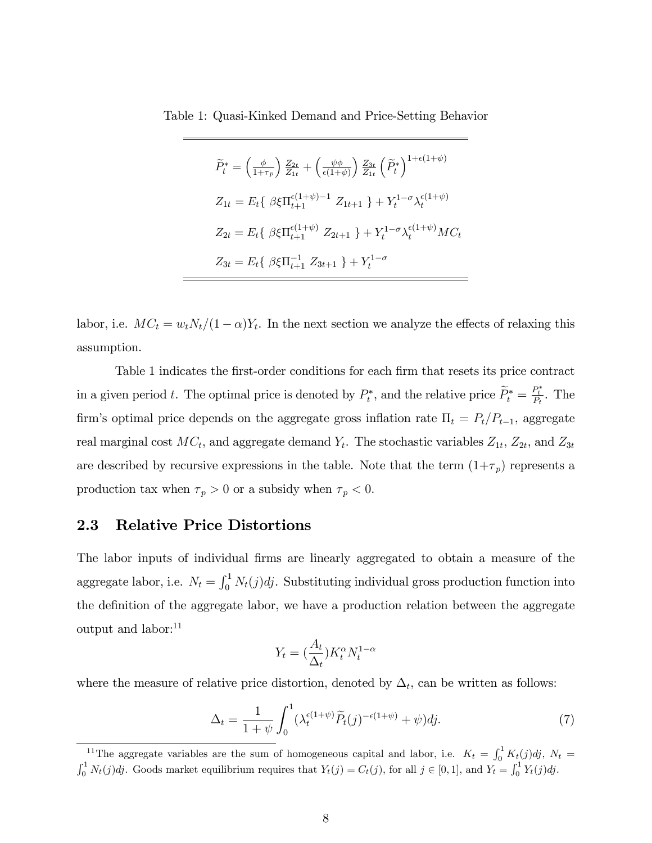Table 1: Quasi-Kinked Demand and Price-Setting Behavior

$$
\widetilde{P}_{t}^{*} = \left(\frac{\phi}{1+\tau_{p}}\right) \frac{Z_{2t}}{Z_{1t}} + \left(\frac{\psi\phi}{\epsilon(1+\psi)}\right) \frac{Z_{3t}}{Z_{1t}} \left(\widetilde{P}_{t}^{*}\right)^{1+\epsilon(1+\psi)}
$$
\n
$$
Z_{1t} = E_{t} \{ \beta \xi \Pi_{t+1}^{\epsilon(1+\psi)-1} Z_{1t+1} \} + Y_{t}^{1-\sigma} \lambda_{t}^{\epsilon(1+\psi)}
$$
\n
$$
Z_{2t} = E_{t} \{ \beta \xi \Pi_{t+1}^{\epsilon(1+\psi)} Z_{2t+1} \} + Y_{t}^{1-\sigma} \lambda_{t}^{\epsilon(1+\psi)} MC_{t}
$$
\n
$$
Z_{3t} = E_{t} \{ \beta \xi \Pi_{t+1}^{-1} Z_{3t+1} \} + Y_{t}^{1-\sigma}
$$

labor, i.e.  $MC_t = w_t N_t / (1 - \alpha) Y_t$ . In the next section we analyze the effects of relaxing this assumption.

Table 1 indicates the first-order conditions for each firm that resets its price contract in a given period t. The optimal price is denoted by  $P_t^*$ , and the relative price  $\widetilde{P}_t^* = \frac{P_t^*}{P_t}$ . The firm's optimal price depends on the aggregate gross inflation rate  $\Pi_t = P_t/P_{t-1}$ , aggregate real marginal cost  $MC_t$ , and aggregate demand  $Y_t$ . The stochastic variables  $Z_{1t}$ ,  $Z_{2t}$ , and  $Z_{3t}$ are described by recursive expressions in the table. Note that the term  $(1+\tau_p)$  represents a production tax when  $\tau_p > 0$  or a subsidy when  $\tau_p < 0$ .

## 2.3 Relative Price Distortions

The labor inputs of individual firms are linearly aggregated to obtain a measure of the aggregate labor, i.e.  $N_t = \int_0^1 N_t(j)dj$ . Substituting individual gross production function into the definition of the aggregate labor, we have a production relation between the aggregate output and labor:<sup>11</sup>

$$
Y_t = \left(\frac{A_t}{\Delta_t}\right) K_t^{\alpha} N_t^{1-\alpha}
$$

where the measure of relative price distortion, denoted by  $\Delta_t$ , can be written as follows:

$$
\Delta_t = \frac{1}{1+\psi} \int_0^1 (\lambda_t^{\epsilon(1+\psi)} \widetilde{P}_t(j)^{-\epsilon(1+\psi)} + \psi) dj. \tag{7}
$$

<sup>&</sup>lt;sup>11</sup>The aggregate variables are the sum of homogeneous capital and labor, i.e.  $K_t = \int_0^1 K_t(j)dj$ ,  $N_t =$  $\int_0^1 N_t(j)dj$ . Goods market equilibrium requires that  $Y_t(j) = C_t(j)$ , for all  $j \in [0,1]$ , and  $Y_t = \int_0^1 Y_t(j)dj$ .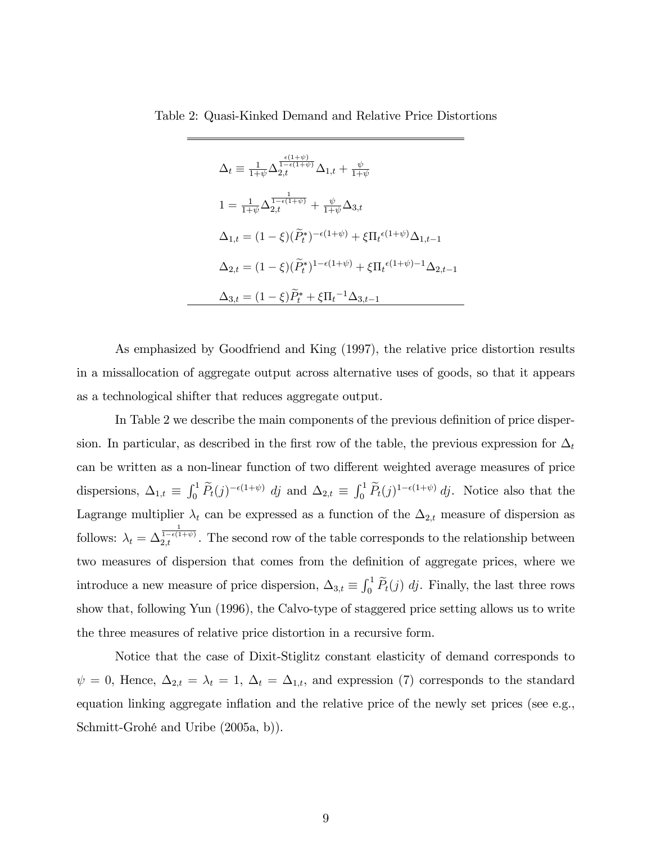Table 2: Quasi-Kinked Demand and Relative Price Distortions

$$
\Delta_{t} \equiv \frac{1}{1+\psi} \Delta_{2,t}^{\frac{\epsilon(1+\psi)}{1-\epsilon(1+\psi)}} \Delta_{1,t} + \frac{\psi}{1+\psi}
$$
\n
$$
1 = \frac{1}{1+\psi} \Delta_{2,t}^{\frac{1}{1-\epsilon(1+\psi)}} + \frac{\psi}{1+\psi} \Delta_{3,t}
$$
\n
$$
\Delta_{1,t} = (1-\xi)(\tilde{P}_{t}^{*})^{-\epsilon(1+\psi)} + \xi \Pi_{t}^{\epsilon(1+\psi)} \Delta_{1,t-1}
$$
\n
$$
\Delta_{2,t} = (1-\xi)(\tilde{P}_{t}^{*})^{1-\epsilon(1+\psi)} + \xi \Pi_{t}^{\epsilon(1+\psi)-1} \Delta_{2,t-1}
$$
\n
$$
\Delta_{3,t} = (1-\xi)\tilde{P}_{t}^{*} + \xi \Pi_{t}^{-1} \Delta_{3,t-1}
$$

As emphasized by Goodfriend and King (1997), the relative price distortion results in a missallocation of aggregate output across alternative uses of goods, so that it appears as a technological shifter that reduces aggregate output.

In Table 2 we describe the main components of the previous definition of price dispersion. In particular, as described in the first row of the table, the previous expression for  $\Delta_t$ can be written as a non-linear function of two different weighted average measures of price dispersions,  $\Delta_{1,t} \equiv \int_0^1 \widetilde{P}_t(j)^{-\epsilon(1+\psi)} dj$  and  $\Delta_{2,t} \equiv \int_0^1 \widetilde{P}_t(j)^{1-\epsilon(1+\psi)} dj$ . Notice also that the Lagrange multiplier  $\lambda_t$  can be expressed as a function of the  $\Delta_{2,t}$  measure of dispersion as follows:  $\lambda_t = \Delta_{2,t}^{\frac{1}{1-\epsilon(1+\psi)}}$ . The second row of the table corresponds to the relationship between two measures of dispersion that comes from the definition of aggregate prices, where we introduce a new measure of price dispersion,  $\Delta_{3,t} \equiv \int_0^1 \widetilde{P}_t(j) \, dj$ . Finally, the last three rows show that, following Yun (1996), the Calvo-type of staggered price setting allows us to write the three measures of relative price distortion in a recursive form.

Notice that the case of Dixit-Stiglitz constant elasticity of demand corresponds to  $\psi = 0$ , Hence,  $\Delta_{2,t} = \lambda_t = 1$ ,  $\Delta_t = \Delta_{1,t}$ , and expression (7) corresponds to the standard equation linking aggregate inflation and the relative price of the newly set prices (see e.g., Schmitt-Grohé and Uribe (2005a, b)).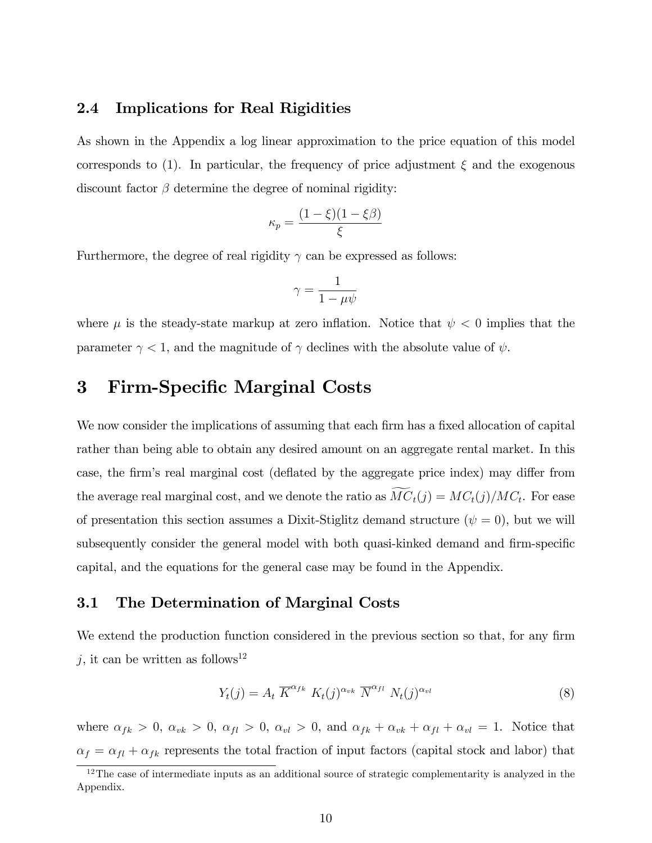## 2.4 Implications for Real Rigidities

As shown in the Appendix a log linear approximation to the price equation of this model corresponds to (1). In particular, the frequency of price adjustment  $\xi$  and the exogenous discount factor  $\beta$  determine the degree of nominal rigidity:

$$
\kappa_p = \frac{(1-\xi)(1-\xi\beta)}{\xi}
$$

Furthermore, the degree of real rigidity  $\gamma$  can be expressed as follows:

$$
\gamma = \frac{1}{1-\mu\psi}
$$

where  $\mu$  is the steady-state markup at zero inflation. Notice that  $\psi < 0$  implies that the parameter  $\gamma < 1$ , and the magnitude of  $\gamma$  declines with the absolute value of  $\psi$ .

# 3 Firm-Specific Marginal Costs

We now consider the implications of assuming that each firm has a fixed allocation of capital rather than being able to obtain any desired amount on an aggregate rental market. In this case, the firm's real marginal cost (deflated by the aggregate price index) may differ from the average real marginal cost, and we denote the ratio as  $MC_t(j) = MC_t(j)/MC_t$ . For ease of presentation this section assumes a Dixit-Stiglitz demand structure  $(\psi = 0)$ , but we will subsequently consider the general model with both quasi-kinked demand and firm-specific capital, and the equations for the general case may be found in the Appendix.

# 3.1 The Determination of Marginal Costs

We extend the production function considered in the previous section so that, for any firm  $j$ , it can be written as follows<sup>12</sup>

$$
Y_t(j) = A_t \ \overline{K}^{\alpha_{fk}} \ K_t(j)^{\alpha_{vk}} \ \overline{N}^{\alpha_{fl}} \ N_t(j)^{\alpha_{vl}} \tag{8}
$$

where  $\alpha_{fk} > 0$ ,  $\alpha_{vk} > 0$ ,  $\alpha_{fl} > 0$ ,  $\alpha_{vl} > 0$ , and  $\alpha_{fk} + \alpha_{vk} + \alpha_{fl} + \alpha_{vl} = 1$ . Notice that  $\alpha_f = \alpha_{fl} + \alpha_{fk}$  represents the total fraction of input factors (capital stock and labor) that

 $12$ The case of intermediate inputs as an additional source of strategic complementarity is analyzed in the Appendix.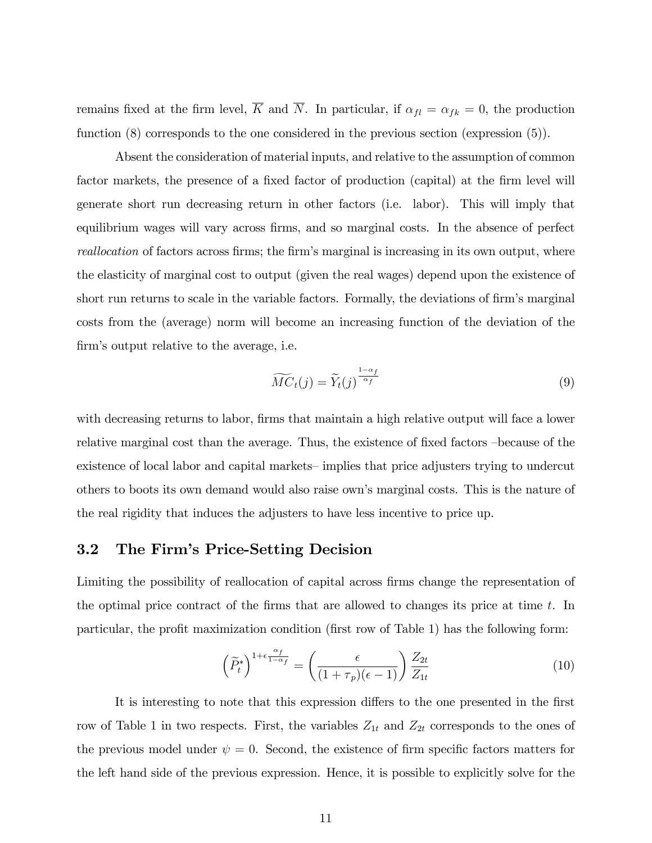remains fixed at the firm level,  $\overline{K}$  and  $\overline{N}$ . In particular, if  $\alpha_{fl} = \alpha_{fk} = 0$ , the production function (8) corresponds to the one considered in the previous section (expression (5)).

Absent the consideration of material inputs, and relative to the assumption of common factor markets, the presence of a fixed factor of production (capital) at the firm level will generate short run decreasing return in other factors (i.e. labor). This will imply that equilibrium wages will vary across firms, and so marginal costs. In the absence of perfect reallocation of factors across firms; the firm's marginal is increasing in its own output, where the elasticity of marginal cost to output (given the real wages) depend upon the existence of short run returns to scale in the variable factors. Formally, the deviations of firm's marginal costs from the (average) norm will become an increasing function of the deviation of the firm's output relative to the average, i.e.

$$
\widetilde{MC}_t(j) = \widetilde{Y}_t(j)^{\frac{1-\alpha_f}{\alpha_f}} \tag{9}
$$

with decreasing returns to labor, firms that maintain a high relative output will face a lower relative marginal cost than the average. Thus, the existence of fixed factors –because of the existence of local labor and capital markets—implies that price adjusters trying to undercut others to boots its own demand would also raise ownís marginal costs. This is the nature of the real rigidity that induces the adjusters to have less incentive to price up.

# 3.2 The Firm's Price-Setting Decision

Limiting the possibility of reallocation of capital across firms change the representation of the optimal price contract of the firms that are allowed to changes its price at time  $t$ . In particular, the profit maximization condition (first row of Table 1) has the following form:

$$
\left(\widetilde{P}_t^*\right)^{1+\epsilon\frac{\alpha_f}{1-\alpha_f}} = \left(\frac{\epsilon}{(1+\tau_p)(\epsilon-1)}\right)\frac{Z_{2t}}{Z_{1t}}\tag{10}
$$

It is interesting to note that this expression differs to the one presented in the first row of Table 1 in two respects. First, the variables  $Z_{1t}$  and  $Z_{2t}$  corresponds to the ones of the previous model under  $\psi = 0$ . Second, the existence of firm specific factors matters for the left hand side of the previous expression. Hence, it is possible to explicitly solve for the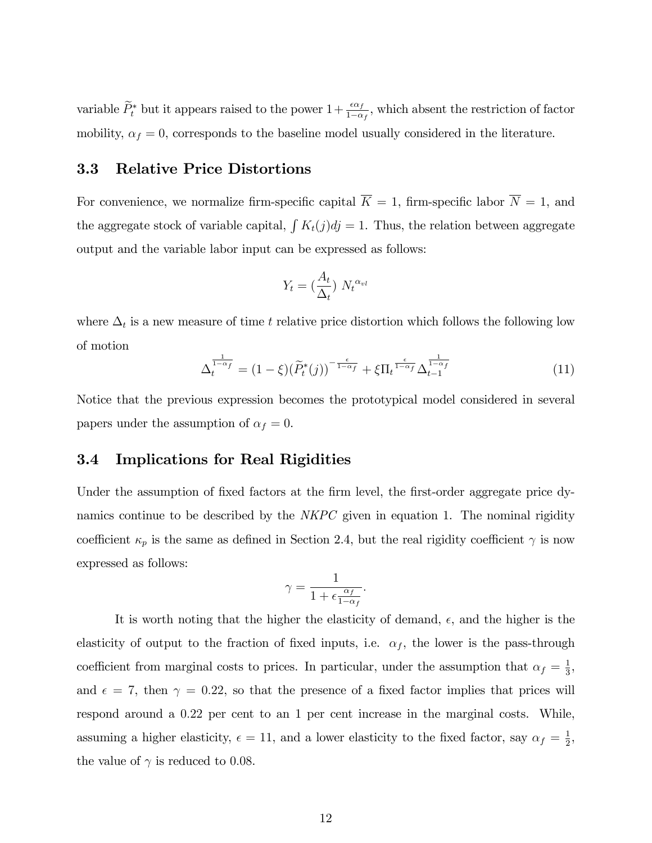variable  $\widetilde{P}_t^*$  but it appears raised to the power  $1+\frac{\epsilon\alpha_f}{1-\alpha_f}$ , which absent the restriction of factor mobility,  $\alpha_f = 0$ , corresponds to the baseline model usually considered in the literature.

## 3.3 Relative Price Distortions

For convenience, we normalize firm-specific capital  $\overline{K} = 1$ , firm-specific labor  $\overline{N} = 1$ , and the aggregate stock of variable capital,  $\int K_t(j)dj = 1$ . Thus, the relation between aggregate output and the variable labor input can be expressed as follows:

$$
Y_t = \left(\frac{A_t}{\Delta_t}\right) N_t^{\alpha_{vl}}
$$

where  $\Delta_t$  is a new measure of time t relative price distortion which follows the following low of motion

$$
\Delta_t^{\frac{1}{1-\alpha_f}} = (1-\xi)(\widetilde{P}_t^*(j))^{-\frac{\epsilon}{1-\alpha_f}} + \xi \Pi_t^{\frac{\epsilon}{1-\alpha_f}} \Delta_{t-1}^{\frac{1}{1-\alpha_f}} \tag{11}
$$

Notice that the previous expression becomes the prototypical model considered in several papers under the assumption of  $\alpha_f = 0$ .

## 3.4 Implications for Real Rigidities

Under the assumption of fixed factors at the firm level, the first-order aggregate price dynamics continue to be described by the *NKPC* given in equation 1. The nominal rigidity coefficient  $\kappa_p$  is the same as defined in Section 2.4, but the real rigidity coefficient  $\gamma$  is now expressed as follows:

$$
\gamma = \frac{1}{1 + \epsilon \frac{\alpha_f}{1 - \alpha_f}}.
$$

It is worth noting that the higher the elasticity of demand,  $\epsilon$ , and the higher is the elasticity of output to the fraction of fixed inputs, i.e.  $\alpha_f$ , the lower is the pass-through coefficient from marginal costs to prices. In particular, under the assumption that  $\alpha_f = \frac{1}{3}$  $\frac{1}{3}$ , and  $\epsilon = 7$ , then  $\gamma = 0.22$ , so that the presence of a fixed factor implies that prices will respond around a 0:22 per cent to an 1 per cent increase in the marginal costs. While, assuming a higher elasticity,  $\epsilon = 11$ , and a lower elasticity to the fixed factor, say  $\alpha_f = \frac{1}{2}$  $\frac{1}{2}$ , the value of  $\gamma$  is reduced to 0.08.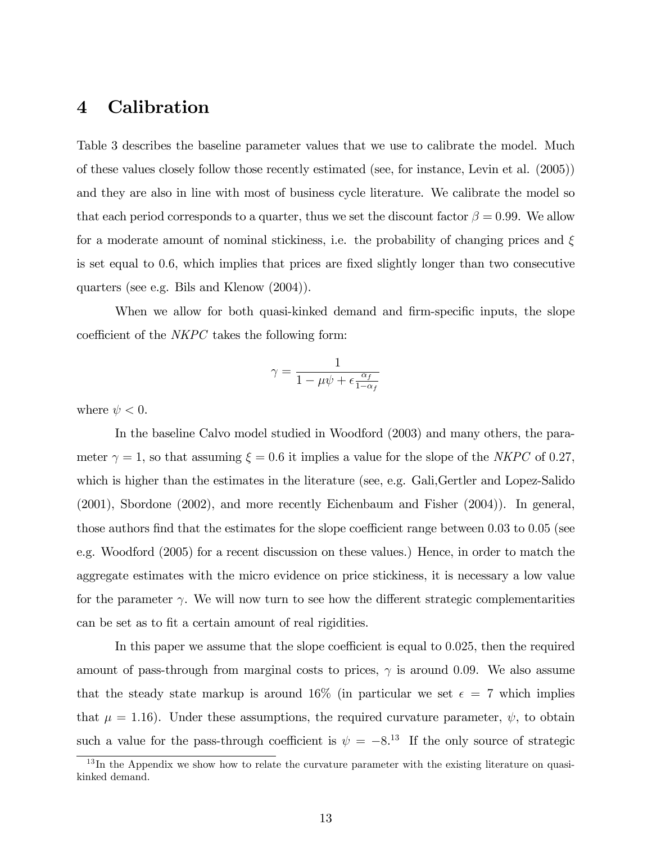# 4 Calibration

Table 3 describes the baseline parameter values that we use to calibrate the model. Much of these values closely follow those recently estimated (see, for instance, Levin et al. (2005)) and they are also in line with most of business cycle literature. We calibrate the model so that each period corresponds to a quarter, thus we set the discount factor  $\beta = 0.99$ . We allow for a moderate amount of nominal stickiness, i.e. the probability of changing prices and  $\xi$ is set equal to 0.6, which implies that prices are fixed slightly longer than two consecutive quarters (see e.g. Bils and Klenow (2004)).

When we allow for both quasi-kinked demand and firm-specific inputs, the slope coefficient of the  $NKPC$  takes the following form:

$$
\gamma = \frac{1}{1 - \mu \psi + \epsilon \frac{\alpha_f}{1 - \alpha_f}}
$$

where  $\psi < 0$ .

In the baseline Calvo model studied in Woodford (2003) and many others, the parameter  $\gamma = 1$ , so that assuming  $\xi = 0.6$  it implies a value for the slope of the NKPC of 0.27, which is higher than the estimates in the literature (see, e.g. Gali,Gertler and Lopez-Salido (2001), Sbordone (2002), and more recently Eichenbaum and Fisher (2004)). In general, those authors find that the estimates for the slope coefficient range between  $0.03$  to  $0.05$  (see e.g. Woodford (2005) for a recent discussion on these values.) Hence, in order to match the aggregate estimates with the micro evidence on price stickiness, it is necessary a low value for the parameter  $\gamma$ . We will now turn to see how the different strategic complementarities can be set as to fit a certain amount of real rigidities.

In this paper we assume that the slope coefficient is equal to  $0.025$ , then the required amount of pass-through from marginal costs to prices,  $\gamma$  is around 0.09. We also assume that the steady state markup is around 16% (in particular we set  $\epsilon = 7$  which implies that  $\mu = 1.16$ ). Under these assumptions, the required curvature parameter,  $\psi$ , to obtain such a value for the pass-through coefficient is  $\psi = -8^{13}$  If the only source of strategic

 $13$  In the Appendix we show how to relate the curvature parameter with the existing literature on quasikinked demand.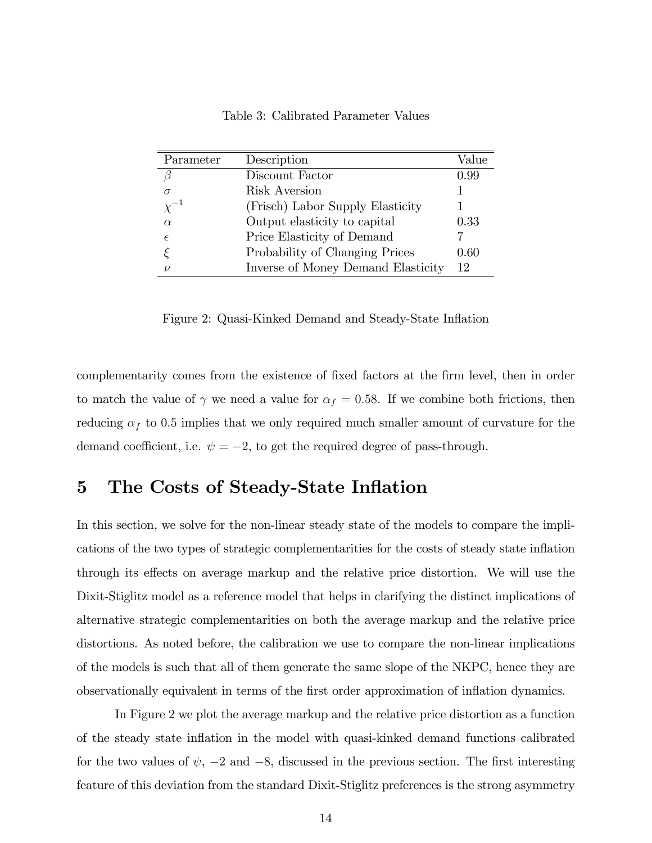| Parameter     | Description                        | Value |
|---------------|------------------------------------|-------|
| В             | Discount Factor                    | 0.99  |
| $\sigma$      | Risk Aversion                      |       |
| $\chi^{-1}$   | (Frisch) Labor Supply Elasticity   |       |
| $\alpha$      | Output elasticity to capital       | 0.33  |
| $\epsilon$    | Price Elasticity of Demand         |       |
|               | Probability of Changing Prices     | 0.60  |
| $\mathcal{V}$ | Inverse of Money Demand Elasticity | 12    |

Table 3: Calibrated Parameter Values

Figure 2: Quasi-Kinked Demand and Steady-State Inflation

complementarity comes from the existence of fixed factors at the firm level, then in order to match the value of  $\gamma$  we need a value for  $\alpha_f = 0.58$ . If we combine both frictions, then reducing  $\alpha_f$  to 0.5 implies that we only required much smaller amount of curvature for the demand coefficient, i.e.  $\psi = -2$ , to get the required degree of pass-through.

# 5 The Costs of Steady-State Inflation

In this section, we solve for the non-linear steady state of the models to compare the implications of the two types of strategic complementarities for the costs of steady state inflation through its effects on average markup and the relative price distortion. We will use the Dixit-Stiglitz model as a reference model that helps in clarifying the distinct implications of alternative strategic complementarities on both the average markup and the relative price distortions. As noted before, the calibration we use to compare the non-linear implications of the models is such that all of them generate the same slope of the NKPC, hence they are observationally equivalent in terms of the Örst order approximation of ináation dynamics.

In Figure 2 we plot the average markup and the relative price distortion as a function of the steady state inflation in the model with quasi-kinked demand functions calibrated for the two values of  $\psi$ ,  $-2$  and  $-8$ , discussed in the previous section. The first interesting feature of this deviation from the standard Dixit-Stiglitz preferences is the strong asymmetry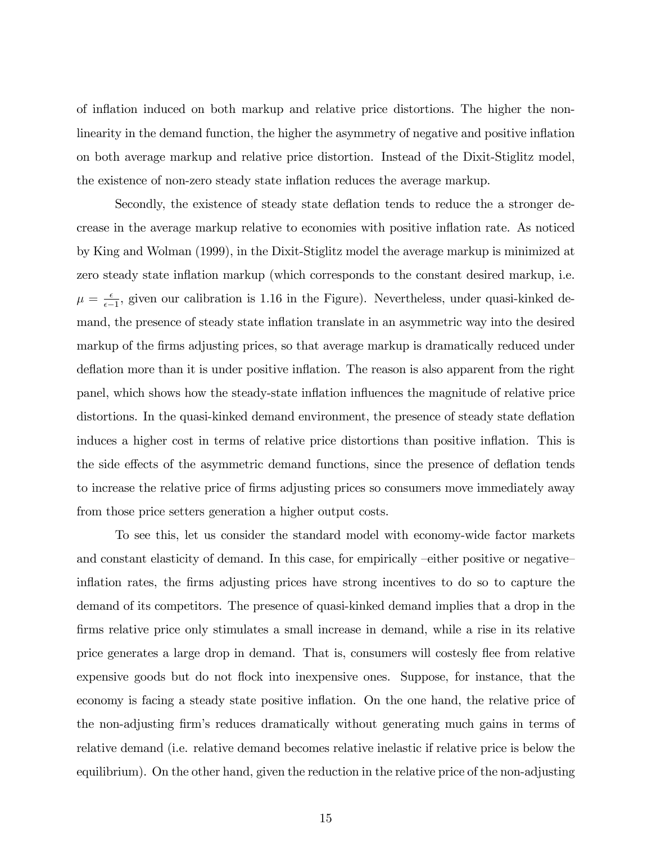of ináation induced on both markup and relative price distortions. The higher the nonlinearity in the demand function, the higher the asymmetry of negative and positive inflation on both average markup and relative price distortion. Instead of the Dixit-Stiglitz model, the existence of non-zero steady state inflation reduces the average markup.

Secondly, the existence of steady state deflation tends to reduce the a stronger decrease in the average markup relative to economies with positive inflation rate. As noticed by King and Wolman (1999), in the Dixit-Stiglitz model the average markup is minimized at zero steady state inflation markup (which corresponds to the constant desired markup, i.e.  $\mu = \frac{\epsilon}{\epsilon - \epsilon}$  $\frac{\epsilon}{\epsilon-1}$ , given our calibration is 1.16 in the Figure). Nevertheless, under quasi-kinked demand, the presence of steady state inflation translate in an asymmetric way into the desired markup of the firms adjusting prices, so that average markup is dramatically reduced under deflation more than it is under positive inflation. The reason is also apparent from the right panel, which shows how the steady-state ináation ináuences the magnitude of relative price distortions. In the quasi-kinked demand environment, the presence of steady state deflation induces a higher cost in terms of relative price distortions than positive inflation. This is the side effects of the asymmetric demand functions, since the presence of deflation tends to increase the relative price of firms adjusting prices so consumers move immediately away from those price setters generation a higher output costs.

To see this, let us consider the standard model with economy-wide factor markets and constant elasticity of demand. In this case, for empirically –either positive or negative inflation rates, the firms adjusting prices have strong incentives to do so to capture the demand of its competitors. The presence of quasi-kinked demand implies that a drop in the firms relative price only stimulates a small increase in demand, while a rise in its relative price generates a large drop in demand. That is, consumers will costesly flee from relative expensive goods but do not flock into inexpensive ones. Suppose, for instance, that the economy is facing a steady state positive inflation. On the one hand, the relative price of the non-adjusting Örmís reduces dramatically without generating much gains in terms of relative demand (i.e. relative demand becomes relative inelastic if relative price is below the equilibrium). On the other hand, given the reduction in the relative price of the non-adjusting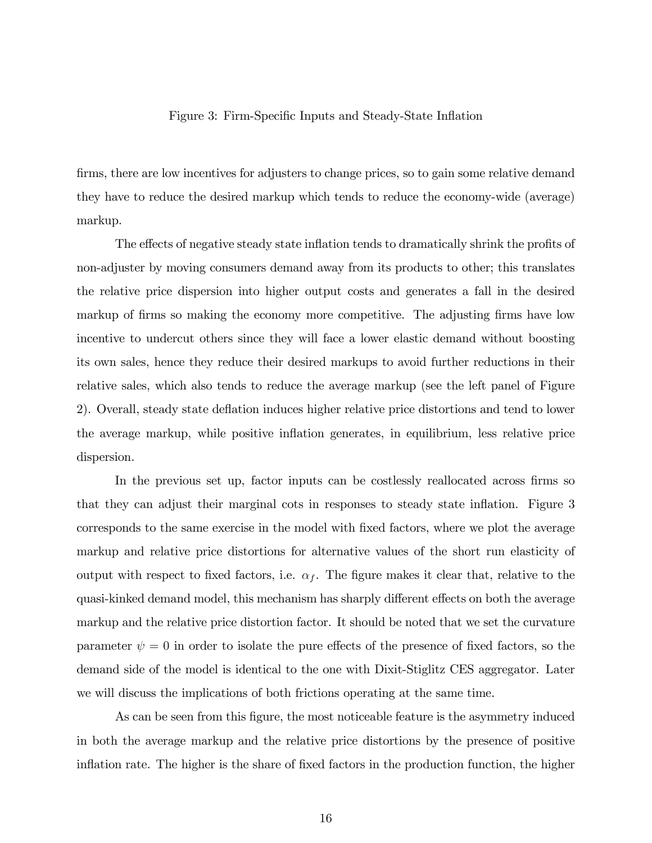### Figure 3: Firm-Specific Inputs and Steady-State Inflation

firms, there are low incentives for adjusters to change prices, so to gain some relative demand they have to reduce the desired markup which tends to reduce the economy-wide (average) markup.

The effects of negative steady state inflation tends to dramatically shrink the profits of non-adjuster by moving consumers demand away from its products to other; this translates the relative price dispersion into higher output costs and generates a fall in the desired markup of firms so making the economy more competitive. The adjusting firms have low incentive to undercut others since they will face a lower elastic demand without boosting its own sales, hence they reduce their desired markups to avoid further reductions in their relative sales, which also tends to reduce the average markup (see the left panel of Figure 2). Overall, steady state deflation induces higher relative price distortions and tend to lower the average markup, while positive ináation generates, in equilibrium, less relative price dispersion.

In the previous set up, factor inputs can be costlessly reallocated across firms so that they can adjust their marginal cots in responses to steady state inflation. Figure 3 corresponds to the same exercise in the model with Öxed factors, where we plot the average markup and relative price distortions for alternative values of the short run elasticity of output with respect to fixed factors, i.e.  $\alpha_f$ . The figure makes it clear that, relative to the quasi-kinked demand model, this mechanism has sharply different effects on both the average markup and the relative price distortion factor. It should be noted that we set the curvature parameter  $\psi = 0$  in order to isolate the pure effects of the presence of fixed factors, so the demand side of the model is identical to the one with Dixit-Stiglitz CES aggregator. Later we will discuss the implications of both frictions operating at the same time.

As can be seen from this figure, the most noticeable feature is the asymmetry induced in both the average markup and the relative price distortions by the presence of positive inflation rate. The higher is the share of fixed factors in the production function, the higher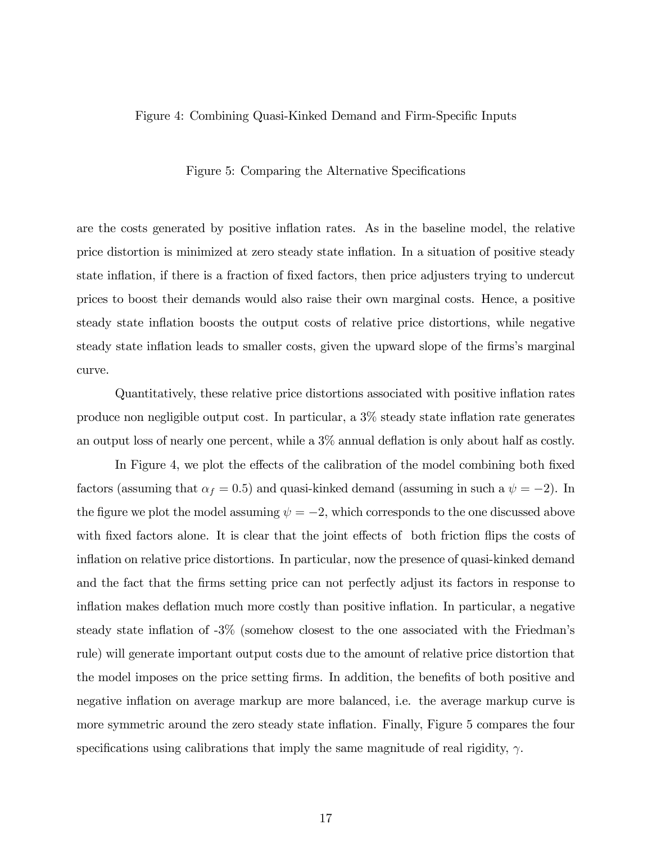### Figure 4: Combining Quasi-Kinked Demand and Firm-Specific Inputs

Figure 5: Comparing the Alternative Specifications

are the costs generated by positive inflation rates. As in the baseline model, the relative price distortion is minimized at zero steady state ináation. In a situation of positive steady state inflation, if there is a fraction of fixed factors, then price adjusters trying to undercut prices to boost their demands would also raise their own marginal costs. Hence, a positive steady state inflation boosts the output costs of relative price distortions, while negative steady state inflation leads to smaller costs, given the upward slope of the firms's marginal curve.

Quantitatively, these relative price distortions associated with positive inflation rates produce non negligible output cost. In particular, a  $3\%$  steady state inflation rate generates an output loss of nearly one percent, while a  $3\%$  annual deflation is only about half as costly.

In Figure 4, we plot the effects of the calibration of the model combining both fixed factors (assuming that  $\alpha_f = 0.5$ ) and quasi-kinked demand (assuming in such a  $\psi = -2$ ). In the figure we plot the model assuming  $\psi = -2$ , which corresponds to the one discussed above with fixed factors alone. It is clear that the joint effects of both friction flips the costs of inflation on relative price distortions. In particular, now the presence of quasi-kinked demand and the fact that the firms setting price can not perfectly adjust its factors in response to inflation makes deflation much more costly than positive inflation. In particular, a negative steady state inflation of  $-3\%$  (somehow closest to the one associated with the Friedman's rule) will generate important output costs due to the amount of relative price distortion that the model imposes on the price setting firms. In addition, the benefits of both positive and negative inflation on average markup are more balanced, i.e. the average markup curve is more symmetric around the zero steady state ináation. Finally, Figure 5 compares the four specifications using calibrations that imply the same magnitude of real rigidity,  $\gamma$ .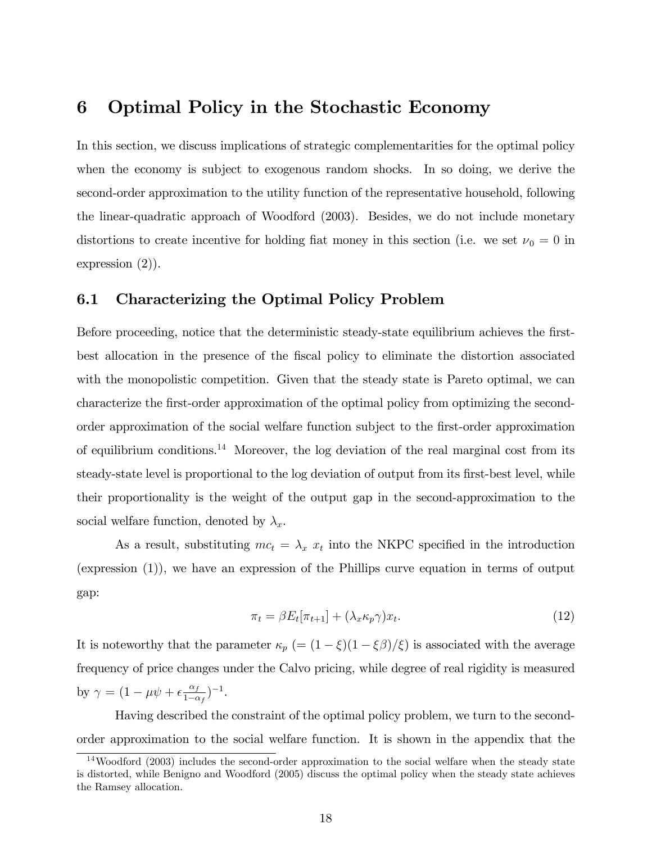# 6 Optimal Policy in the Stochastic Economy

In this section, we discuss implications of strategic complementarities for the optimal policy when the economy is subject to exogenous random shocks. In so doing, we derive the second-order approximation to the utility function of the representative household, following the linear-quadratic approach of Woodford (2003). Besides, we do not include monetary distortions to create incentive for holding fiat money in this section (i.e. we set  $\nu_0 = 0$  in expression (2)).

## 6.1 Characterizing the Optimal Policy Problem

Before proceeding, notice that the deterministic steady-state equilibrium achieves the firstbest allocation in the presence of the Öscal policy to eliminate the distortion associated with the monopolistic competition. Given that the steady state is Pareto optimal, we can characterize the Örst-order approximation of the optimal policy from optimizing the secondorder approximation of the social welfare function subject to the first-order approximation of equilibrium conditions.<sup>14</sup> Moreover, the log deviation of the real marginal cost from its steady-state level is proportional to the log deviation of output from its first-best level, while their proportionality is the weight of the output gap in the second-approximation to the social welfare function, denoted by  $\lambda_x$ .

As a result, substituting  $mc_t = \lambda_x x_t$  into the NKPC specified in the introduction (expression (1)), we have an expression of the Phillips curve equation in terms of output gap:

$$
\pi_t = \beta E_t[\pi_{t+1}] + (\lambda_x \kappa_p \gamma) x_t.
$$
\n(12)

It is noteworthy that the parameter  $\kappa_p$  (=  $(1 - \xi)(1 - \xi\beta)/\xi$ ) is associated with the average frequency of price changes under the Calvo pricing, while degree of real rigidity is measured by  $\gamma = (1 - \mu \psi + \epsilon \frac{\alpha_f}{1 - \alpha})$  $\frac{\alpha_f}{1-\alpha_f}$ )<sup>-1</sup>.

Having described the constraint of the optimal policy problem, we turn to the secondorder approximation to the social welfare function. It is shown in the appendix that the

 $14$ Woodford (2003) includes the second-order approximation to the social welfare when the steady state is distorted, while Benigno and Woodford (2005) discuss the optimal policy when the steady state achieves the Ramsey allocation.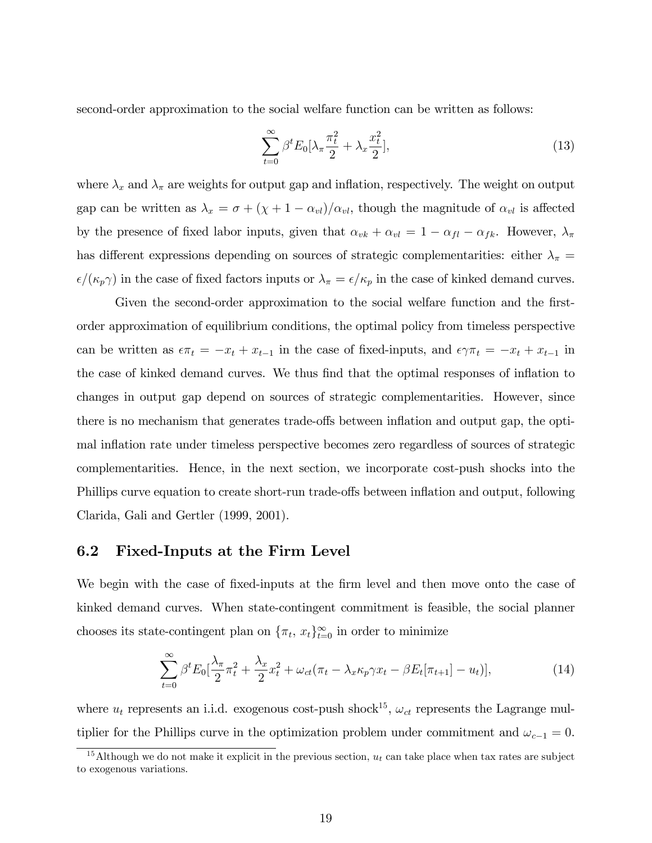second-order approximation to the social welfare function can be written as follows:

$$
\sum_{t=0}^{\infty} \beta^t E_0[\lambda_\pi \frac{\pi_t^2}{2} + \lambda_x \frac{x_t^2}{2}],
$$
\n(13)

where  $\lambda_x$  and  $\lambda_\pi$  are weights for output gap and inflation, respectively. The weight on output gap can be written as  $\lambda_x = \sigma + (\chi + 1 - \alpha_{vl})/\alpha_{vl}$ , though the magnitude of  $\alpha_{vl}$  is affected by the presence of fixed labor inputs, given that  $\alpha_{vk} + \alpha_{vl} = 1 - \alpha_{fl} - \alpha_{fk}$ . However,  $\lambda_{\pi}$ has different expressions depending on sources of strategic complementarities: either  $\lambda_{\pi}$  =  $\epsilon/(\kappa_p \gamma)$  in the case of fixed factors inputs or  $\lambda_\pi = \epsilon/\kappa_p$  in the case of kinked demand curves.

Given the second-order approximation to the social welfare function and the firstorder approximation of equilibrium conditions, the optimal policy from timeless perspective can be written as  $\epsilon \pi_t = -x_t + x_{t-1}$  in the case of fixed-inputs, and  $\epsilon \gamma \pi_t = -x_t + x_{t-1}$  in the case of kinked demand curves. We thus find that the optimal responses of inflation to changes in output gap depend on sources of strategic complementarities. However, since there is no mechanism that generates trade-offs between inflation and output gap, the optimal inflation rate under timeless perspective becomes zero regardless of sources of strategic complementarities. Hence, in the next section, we incorporate cost-push shocks into the Phillips curve equation to create short-run trade-offs between inflation and output, following Clarida, Gali and Gertler (1999, 2001).

# 6.2 Fixed-Inputs at the Firm Level

We begin with the case of fixed-inputs at the firm level and then move onto the case of kinked demand curves. When state-contingent commitment is feasible, the social planner chooses its state-contingent plan on  $\{\pi_t, x_t\}_{t=0}^{\infty}$  in order to minimize

$$
\sum_{t=0}^{\infty} \beta^t E_0 \left[ \frac{\lambda_\pi}{2} \pi_t^2 + \frac{\lambda_x}{2} x_t^2 + \omega_{ct} (\pi_t - \lambda_x \kappa_p \gamma x_t - \beta E_t [\pi_{t+1}] - u_t) \right],\tag{14}
$$

where  $u_t$  represents an i.i.d. exogenous cost-push shock<sup>15</sup>,  $\omega_{ct}$  represents the Lagrange multiplier for the Phillips curve in the optimization problem under commitment and  $\omega_{c-1} = 0$ .

<sup>&</sup>lt;sup>15</sup>Although we do not make it explicit in the previous section,  $u_t$  can take place when tax rates are subject to exogenous variations.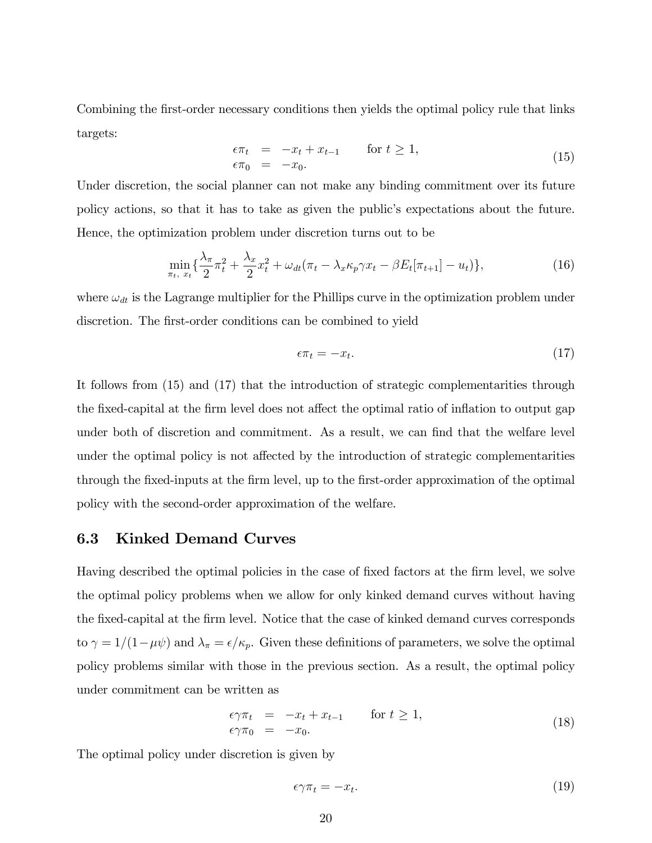Combining the first-order necessary conditions then yields the optimal policy rule that links targets:

$$
\epsilon \pi_t = -x_t + x_{t-1} \quad \text{for } t \ge 1,
$$
  
\n
$$
\epsilon \pi_0 = -x_0.
$$
\n(15)

Under discretion, the social planner can not make any binding commitment over its future policy actions, so that it has to take as given the public's expectations about the future. Hence, the optimization problem under discretion turns out to be

$$
\min_{\pi_t, x_t} \left\{ \frac{\lambda_\pi}{2} \pi_t^2 + \frac{\lambda_x}{2} x_t^2 + \omega_{dt} (\pi_t - \lambda_x \kappa_p \gamma x_t - \beta E_t[\pi_{t+1}] - u_t) \right\},\tag{16}
$$

where  $\omega_{dt}$  is the Lagrange multiplier for the Phillips curve in the optimization problem under discretion. The first-order conditions can be combined to yield

$$
\epsilon \pi_t = -x_t. \tag{17}
$$

It follows from (15) and (17) that the introduction of strategic complementarities through the fixed-capital at the firm level does not affect the optimal ratio of inflation to output gap under both of discretion and commitment. As a result, we can find that the welfare level under the optimal policy is not affected by the introduction of strategic complementarities through the Öxed-inputs at the Örm level, up to the Örst-order approximation of the optimal policy with the second-order approximation of the welfare.

## 6.3 Kinked Demand Curves

Having described the optimal policies in the case of fixed factors at the firm level, we solve the optimal policy problems when we allow for only kinked demand curves without having the Öxed-capital at the Örm level. Notice that the case of kinked demand curves corresponds to  $\gamma = 1/(1 - \mu \psi)$  and  $\lambda_{\pi} = \epsilon/\kappa_p$ . Given these definitions of parameters, we solve the optimal policy problems similar with those in the previous section. As a result, the optimal policy under commitment can be written as

$$
\epsilon \gamma \pi_t = -x_t + x_{t-1} \quad \text{for } t \ge 1,
$$
  
\n
$$
\epsilon \gamma \pi_0 = -x_0.
$$
 (18)

The optimal policy under discretion is given by

$$
\epsilon \gamma \pi_t = -x_t. \tag{19}
$$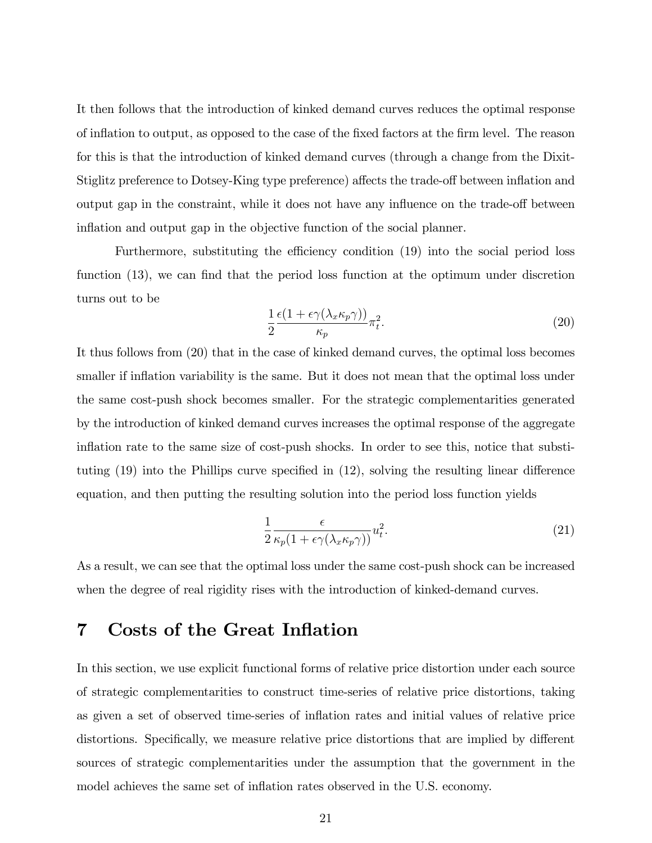It then follows that the introduction of kinked demand curves reduces the optimal response of inflation to output, as opposed to the case of the fixed factors at the firm level. The reason for this is that the introduction of kinked demand curves (through a change from the Dixit-Stiglitz preference to Dotsey-King type preference) affects the trade-off between inflation and output gap in the constraint, while it does not have any influence on the trade-off between inflation and output gap in the objective function of the social planner.

Furthermore, substituting the efficiency condition (19) into the social period loss function  $(13)$ , we can find that the period loss function at the optimum under discretion turns out to be

$$
\frac{1}{2} \frac{\epsilon (1 + \epsilon \gamma (\lambda_x \kappa_p \gamma))}{\kappa_p} \pi_t^2.
$$
 (20)

It thus follows from (20) that in the case of kinked demand curves, the optimal loss becomes smaller if inflation variability is the same. But it does not mean that the optimal loss under the same cost-push shock becomes smaller. For the strategic complementarities generated by the introduction of kinked demand curves increases the optimal response of the aggregate inflation rate to the same size of cost-push shocks. In order to see this, notice that substituting  $(19)$  into the Phillips curve specified in  $(12)$ , solving the resulting linear difference equation, and then putting the resulting solution into the period loss function yields

$$
\frac{1}{2} \frac{\epsilon}{\kappa_p (1 + \epsilon \gamma (\lambda_x \kappa_p \gamma))} u_t^2.
$$
\n(21)

As a result, we can see that the optimal loss under the same cost-push shock can be increased when the degree of real rigidity rises with the introduction of kinked-demand curves.

# 7 Costs of the Great Inflation

In this section, we use explicit functional forms of relative price distortion under each source of strategic complementarities to construct time-series of relative price distortions, taking as given a set of observed time-series of ináation rates and initial values of relative price distortions. Specifically, we measure relative price distortions that are implied by different sources of strategic complementarities under the assumption that the government in the model achieves the same set of inflation rates observed in the U.S. economy.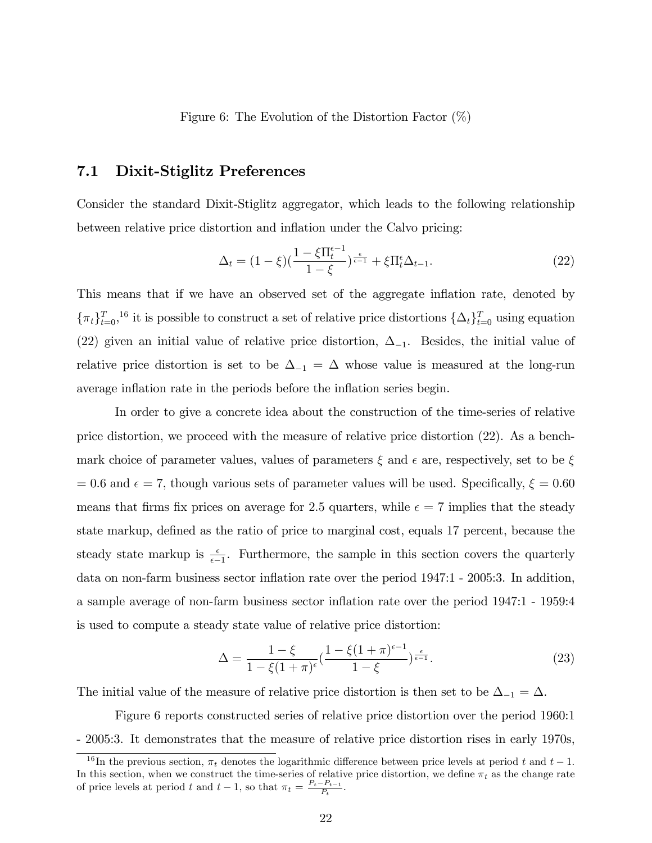### Figure 6: The Evolution of the Distortion Factor  $(\%)$

## 7.1 Dixit-Stiglitz Preferences

Consider the standard Dixit-Stiglitz aggregator, which leads to the following relationship between relative price distortion and inflation under the Calvo pricing:

$$
\Delta_t = (1 - \xi) \left(\frac{1 - \xi \Pi_t^{\epsilon - 1}}{1 - \xi}\right)^{\frac{\epsilon}{\epsilon - 1}} + \xi \Pi_t^{\epsilon} \Delta_{t-1}.
$$
\n(22)

This means that if we have an observed set of the aggregate inflation rate, denoted by  $\{\pi_t\}_{t=0}^T$ , <sup>16</sup> it is possible to construct a set of relative price distortions  $\{\Delta_t\}_{t=0}^T$  using equation (22) given an initial value of relative price distortion,  $\Delta_{-1}$ . Besides, the initial value of relative price distortion is set to be  $\Delta_{-1} = \Delta$  whose value is measured at the long-run average inflation rate in the periods before the inflation series begin.

In order to give a concrete idea about the construction of the time-series of relative price distortion, we proceed with the measure of relative price distortion (22). As a benchmark choice of parameter values, values of parameters  $\xi$  and  $\epsilon$  are, respectively, set to be  $\xi$  $= 0.6$  and  $\epsilon = 7$ , though various sets of parameter values will be used. Specifically,  $\xi = 0.60$ means that firms fix prices on average for 2.5 quarters, while  $\epsilon = 7$  implies that the steady state markup, defined as the ratio of price to marginal cost, equals 17 percent, because the steady state markup is  $\frac{\epsilon}{\epsilon-1}$ . Furthermore, the sample in this section covers the quarterly data on non-farm business sector ináation rate over the period 1947:1 - 2005:3. In addition, a sample average of non-farm business sector ináation rate over the period 1947:1 - 1959:4 is used to compute a steady state value of relative price distortion:

$$
\Delta = \frac{1 - \xi}{1 - \xi (1 + \pi)^{\epsilon}} \left( \frac{1 - \xi (1 + \pi)^{\epsilon - 1}}{1 - \xi} \right)^{\frac{\epsilon}{\epsilon - 1}}.
$$
\n(23)

The initial value of the measure of relative price distortion is then set to be  $\Delta_{-1} = \Delta$ .

Figure 6 reports constructed series of relative price distortion over the period 1960:1 - 2005:3. It demonstrates that the measure of relative price distortion rises in early 1970s,

<sup>&</sup>lt;sup>16</sup>In the previous section,  $\pi_t$  denotes the logarithmic difference between price levels at period t and  $t-1$ . In this section, when we construct the time-series of relative price distortion, we define  $\pi_t$  as the change rate of price levels at period t and  $t-1$ , so that  $\pi_t = \frac{P_t - P_{t-1}}{P_t}$ .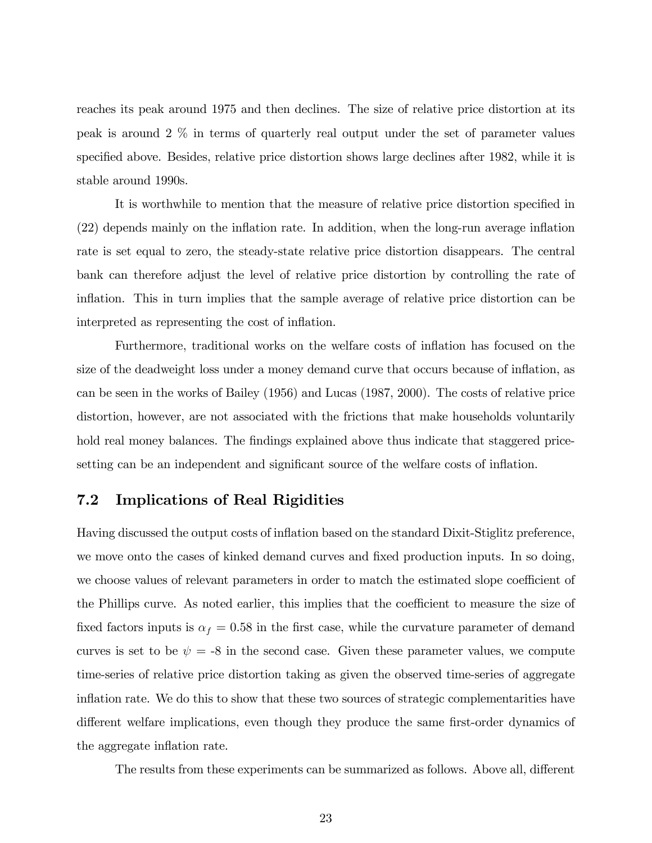reaches its peak around 1975 and then declines. The size of relative price distortion at its peak is around 2 % in terms of quarterly real output under the set of parameter values specified above. Besides, relative price distortion shows large declines after 1982, while it is stable around 1990s.

It is worthwhile to mention that the measure of relative price distortion specified in  $(22)$  depends mainly on the inflation rate. In addition, when the long-run average inflation rate is set equal to zero, the steady-state relative price distortion disappears. The central bank can therefore adjust the level of relative price distortion by controlling the rate of inflation. This in turn implies that the sample average of relative price distortion can be interpreted as representing the cost of inflation.

Furthermore, traditional works on the welfare costs of ináation has focused on the size of the deadweight loss under a money demand curve that occurs because of inflation, as can be seen in the works of Bailey (1956) and Lucas (1987, 2000). The costs of relative price distortion, however, are not associated with the frictions that make households voluntarily hold real money balances. The findings explained above thus indicate that staggered pricesetting can be an independent and significant source of the welfare costs of inflation.

## 7.2 Implications of Real Rigidities

Having discussed the output costs of ináation based on the standard Dixit-Stiglitz preference, we move onto the cases of kinked demand curves and fixed production inputs. In so doing, we choose values of relevant parameters in order to match the estimated slope coefficient of the Phillips curve. As noted earlier, this implies that the coefficient to measure the size of fixed factors inputs is  $\alpha_f = 0.58$  in the first case, while the curvature parameter of demand curves is set to be  $\psi = -8$  in the second case. Given these parameter values, we compute time-series of relative price distortion taking as given the observed time-series of aggregate inflation rate. We do this to show that these two sources of strategic complementarities have different welfare implications, even though they produce the same first-order dynamics of the aggregate inflation rate.

The results from these experiments can be summarized as follows. Above all, different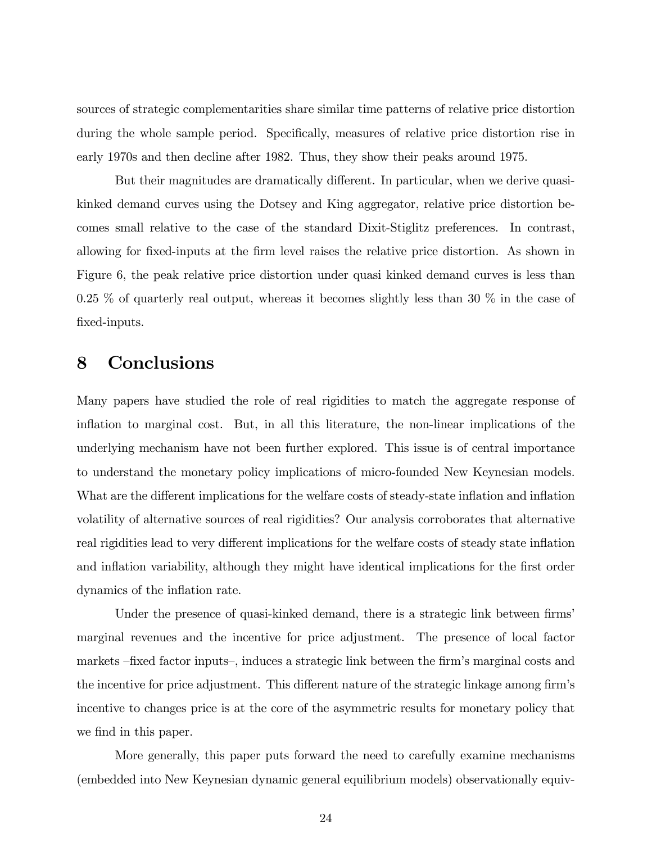sources of strategic complementarities share similar time patterns of relative price distortion during the whole sample period. Specifically, measures of relative price distortion rise in early 1970s and then decline after 1982. Thus, they show their peaks around 1975.

But their magnitudes are dramatically different. In particular, when we derive quasikinked demand curves using the Dotsey and King aggregator, relative price distortion becomes small relative to the case of the standard Dixit-Stiglitz preferences. In contrast, allowing for fixed-inputs at the firm level raises the relative price distortion. As shown in Figure 6, the peak relative price distortion under quasi kinked demand curves is less than 0.25  $\%$  of quarterly real output, whereas it becomes slightly less than 30  $\%$  in the case of fixed-inputs.

# 8 Conclusions

Many papers have studied the role of real rigidities to match the aggregate response of inflation to marginal cost. But, in all this literature, the non-linear implications of the underlying mechanism have not been further explored. This issue is of central importance to understand the monetary policy implications of micro-founded New Keynesian models. What are the different implications for the welfare costs of steady-state inflation and inflation volatility of alternative sources of real rigidities? Our analysis corroborates that alternative real rigidities lead to very different implications for the welfare costs of steady state inflation and inflation variability, although they might have identical implications for the first order dynamics of the inflation rate.

Under the presence of quasi-kinked demand, there is a strategic link between firms' marginal revenues and the incentive for price adjustment. The presence of local factor markets -fixed factor inputs-, induces a strategic link between the firm's marginal costs and the incentive for price adjustment. This different nature of the strategic linkage among firm's incentive to changes price is at the core of the asymmetric results for monetary policy that we find in this paper.

More generally, this paper puts forward the need to carefully examine mechanisms (embedded into New Keynesian dynamic general equilibrium models) observationally equiv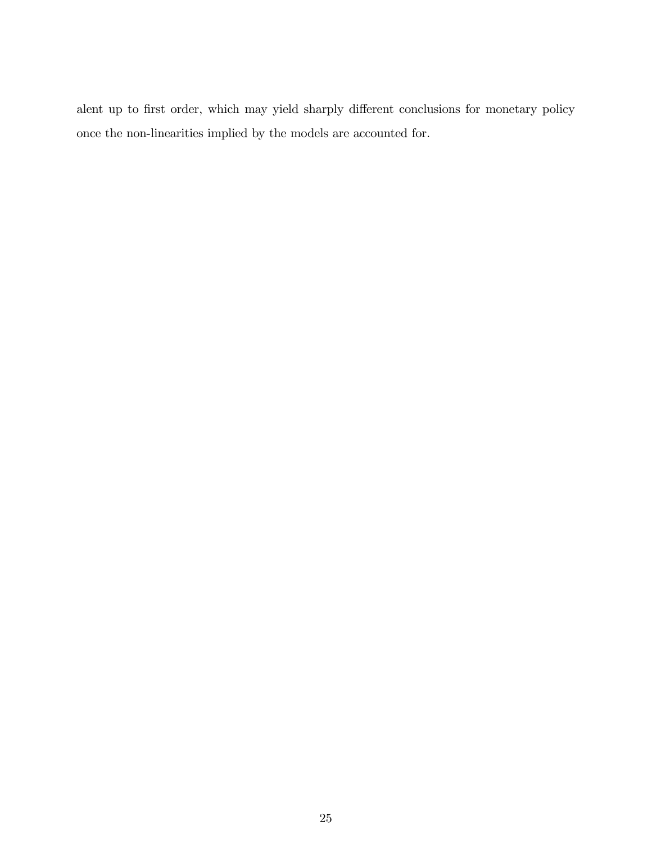alent up to first order, which may yield sharply different conclusions for monetary policy once the non-linearities implied by the models are accounted for.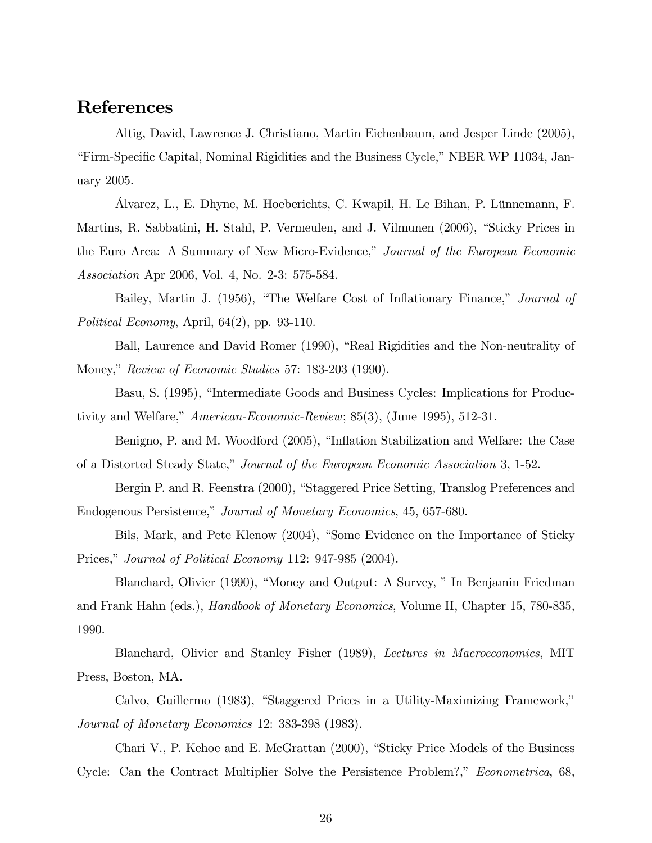# References

Altig, David, Lawrence J. Christiano, Martin Eichenbaum, and Jesper Linde (2005), Eirm-Specific Capital, Nominal Rigidities and the Business Cycle," NBER WP 11034, January 2005.

Alvarez, L., E. Dhyne, M. Hoeberichts, C. Kwapil, H. Le Bihan, P. Lünnemann, F. Martins, R. Sabbatini, H. Stahl, P. Vermeulen, and J. Vilmunen (2006), "Sticky Prices in the Euro Area: A Summary of New Micro-Evidence," Journal of the European Economic Association Apr 2006, Vol. 4, No. 2-3: 575-584.

Bailey, Martin J. (1956), "The Welfare Cost of Inflationary Finance," Journal of Political Economy, April, 64(2), pp. 93-110.

Ball, Laurence and David Romer (1990), "Real Rigidities and the Non-neutrality of Money," Review of Economic Studies 57: 183-203 (1990).

Basu, S. (1995), "Intermediate Goods and Business Cycles: Implications for Productivity and Welfare,"  $American-Economic-Review; 85(3), (June 1995), 512-31.$ 

Benigno, P. and M. Woodford (2005), "Inflation Stabilization and Welfare: the Case of a Distorted Steady State," Journal of the European Economic Association 3, 1-52.

Bergin P. and R. Feenstra (2000), "Staggered Price Setting, Translog Preferences and Endogenous Persistence," Journal of Monetary Economics, 45, 657-680.

Bils, Mark, and Pete Klenow (2004), "Some Evidence on the Importance of Sticky Prices," Journal of Political Economy 112:  $947-985$  (2004).

Blanchard, Olivier (1990), "Money and Output: A Survey, " In Benjamin Friedman and Frank Hahn (eds.), Handbook of Monetary Economics, Volume II, Chapter 15, 780-835, 1990.

Blanchard, Olivier and Stanley Fisher (1989), Lectures in Macroeconomics, MIT Press, Boston, MA.

Calvo, Guillermo (1983), "Staggered Prices in a Utility-Maximizing Framework," Journal of Monetary Economics 12: 383-398 (1983).

Chari V., P. Kehoe and E. McGrattan  $(2000)$ , "Sticky Price Models of the Business" Cycle: Can the Contract Multiplier Solve the Persistence Problem?," Econometrica, 68,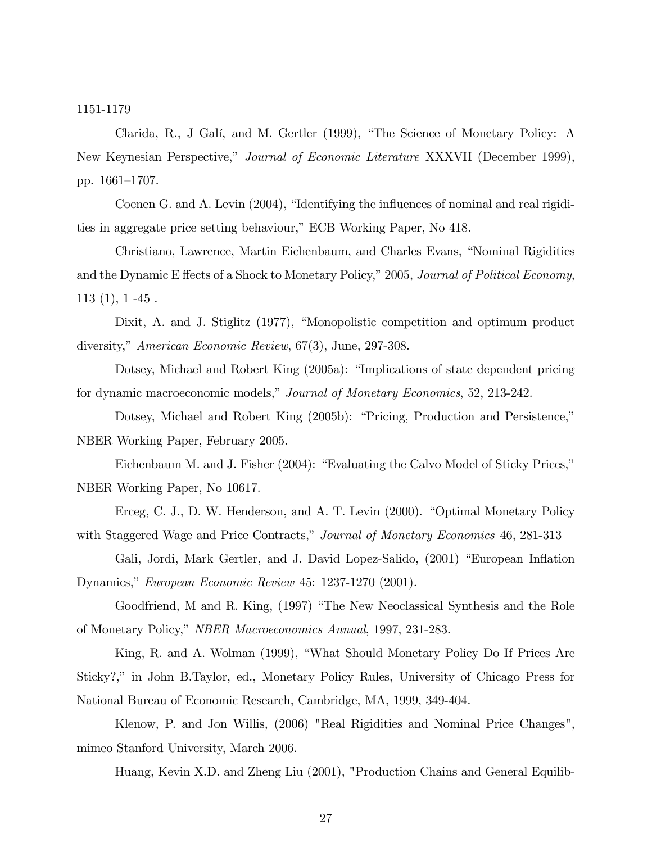1151-1179

Clarida, R., J Galí, and M. Gertler (1999), "The Science of Monetary Policy: A New Keynesian Perspective," Journal of Economic Literature XXXVII (December 1999), pp. 1661–1707.

Coenen G. and A. Levin (2004), "Identifying the influences of nominal and real rigidities in aggregate price setting behaviour," ECB Working Paper, No 418.

Christiano, Lawrence, Martin Eichenbaum, and Charles Evans, "Nominal Rigidities and the Dynamic E ffects of a Shock to Monetary Policy," 2005, Journal of Political Economy,  $113(1), 1-45$ .

Dixit, A. and J. Stiglitz (1977), "Monopolistic competition and optimum product diversity," American Economic Review,  $67(3)$ , June, 297-308.

Dotsey, Michael and Robert King (2005a): "Implications of state dependent pricing for dynamic macroeconomic models," Journal of Monetary Economics, 52, 213-242.

Dotsey, Michael and Robert King (2005b): "Pricing, Production and Persistence," NBER Working Paper, February 2005.

Eichenbaum M. and J. Fisher (2004): "Evaluating the Calvo Model of Sticky Prices," NBER Working Paper, No 10617.

Erceg, C. J., D. W. Henderson, and A. T. Levin (2000). "Optimal Monetary Policy with Staggered Wage and Price Contracts," Journal of Monetary Economics 46, 281-313

Gali, Jordi, Mark Gertler, and J. David Lopez-Salido, (2001) "European Inflation Dynamics," European Economic Review 45: 1237-1270 (2001).

Goodfriend, M and R. King, (1997) "The New Neoclassical Synthesis and the Role of Monetary Policy," NBER Macroeconomics Annual, 1997, 231-283.

King, R. and A. Wolman (1999), "What Should Monetary Policy Do If Prices Are Sticky?," in John B.Taylor, ed., Monetary Policy Rules, University of Chicago Press for National Bureau of Economic Research, Cambridge, MA, 1999, 349-404.

Klenow, P. and Jon Willis, (2006) "Real Rigidities and Nominal Price Changes", mimeo Stanford University, March 2006.

Huang, Kevin X.D. and Zheng Liu (2001), "Production Chains and General Equilib-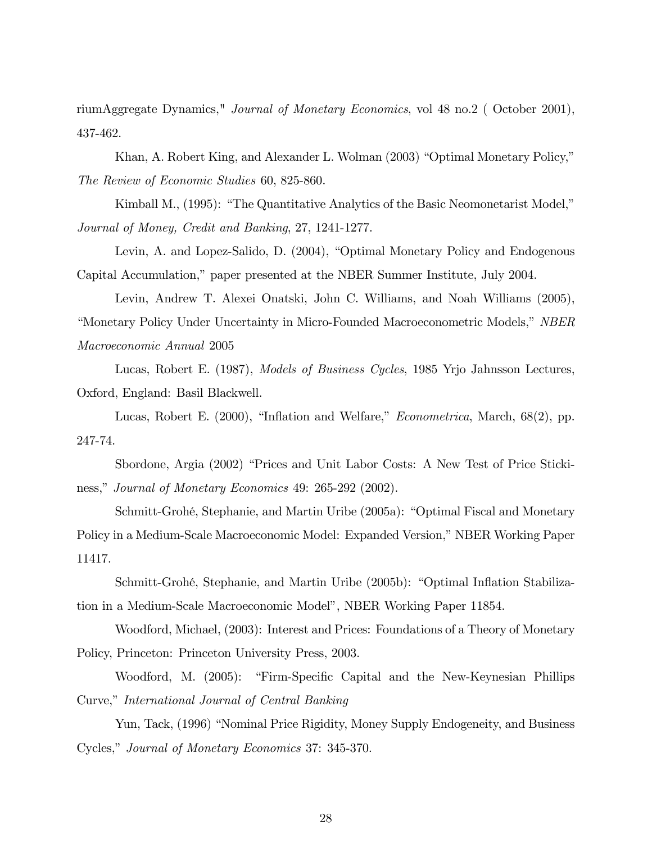riumAggregate Dynamics," Journal of Monetary Economics, vol 48 no.2 ( October 2001), 437-462.

Khan, A. Robert King, and Alexander L. Wolman (2003) "Optimal Monetary Policy," The Review of Economic Studies 60, 825-860.

Kimball M., (1995): "The Quantitative Analytics of the Basic Neomonetarist Model," Journal of Money, Credit and Banking, 27, 1241-1277.

Levin, A. and Lopez-Salido, D. (2004), "Optimal Monetary Policy and Endogenous Capital Accumulation," paper presented at the NBER Summer Institute, July 2004.

Levin, Andrew T. Alexei Onatski, John C. Williams, and Noah Williams (2005), *i*Monetary Policy Under Uncertainty in Micro-Founded Macroeconometric Models,<sup>*n*</sup> NBER Macroeconomic Annual 2005

Lucas, Robert E. (1987), Models of Business Cycles, 1985 Yrjo Jahnsson Lectures, Oxford, England: Basil Blackwell.

Lucas, Robert E. (2000), "Inflation and Welfare," *Econometrica*, March,  $68(2)$ , pp. 247-74.

Sbordone, Argia (2002) "Prices and Unit Labor Costs: A New Test of Price Stickiness," Journal of Monetary Economics 49: 265-292 (2002).

Schmitt-Grohé, Stephanie, and Martin Uribe (2005a): "Optimal Fiscal and Monetary Policy in a Medium-Scale Macroeconomic Model: Expanded Version," NBER Working Paper 11417.

Schmitt-Grohé, Stephanie, and Martin Uribe (2005b): "Optimal Inflation Stabilization in a Medium-Scale Macroeconomic Model", NBER Working Paper 11854.

Woodford, Michael, (2003): Interest and Prices: Foundations of a Theory of Monetary Policy, Princeton: Princeton University Press, 2003.

Woodford, M. (2005): "Firm-Specific Capital and the New-Keynesian Phillips Curve," International Journal of Central Banking

Yun, Tack, (1996) "Nominal Price Rigidity, Money Supply Endogeneity, and Business Cycles," Journal of Monetary Economics 37: 345-370.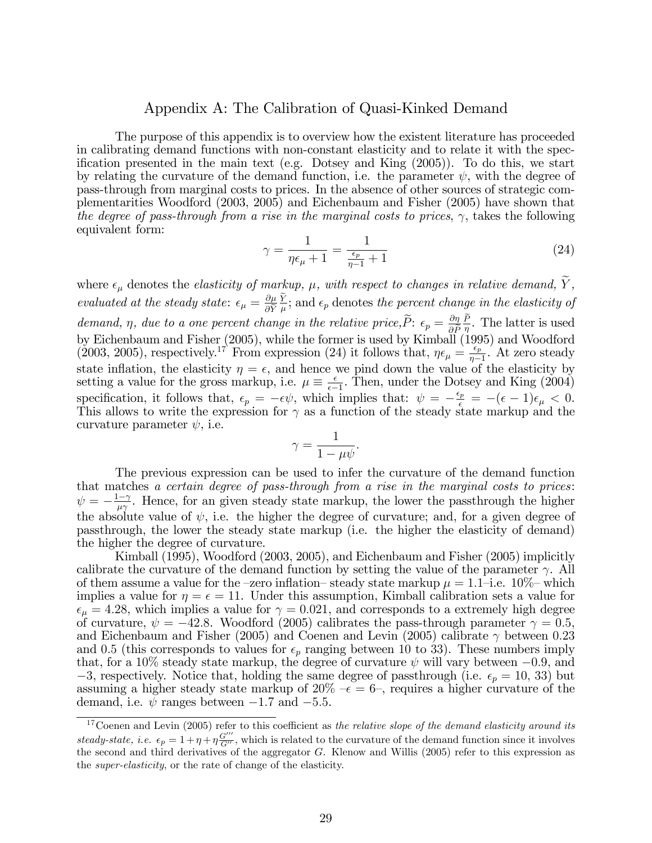### Appendix A: The Calibration of Quasi-Kinked Demand

The purpose of this appendix is to overview how the existent literature has proceeded in calibrating demand functions with non-constant elasticity and to relate it with the specification presented in the main text (e.g. Dotsey and King  $(2005)$ ). To do this, we start by relating the curvature of the demand function, i.e. the parameter  $\psi$ , with the degree of pass-through from marginal costs to prices. In the absence of other sources of strategic complementarities Woodford (2003, 2005) and Eichenbaum and Fisher (2005) have shown that the degree of pass-through from a rise in the marginal costs to prices,  $\gamma$ , takes the following equivalent form:

$$
\gamma = \frac{1}{\eta \epsilon_{\mu} + 1} = \frac{1}{\frac{\epsilon_p}{\eta - 1} + 1} \tag{24}
$$

where  $\epsilon_{\mu}$  denotes the *elasticity of markup*,  $\mu$ , with respect to changes in relative demand,  $\tilde{Y}$ , evaluated at the steady state:  $\epsilon_{\mu} = \frac{\partial \mu}{\partial \tilde{V}}$  $\partial Y$  $\frac{Y}{\mu}$ ; and  $\epsilon_p$  denotes the percent change in the elasticity of demand,  $\eta$ , due to a one percent change in the relative price,  $\tilde{P}$ :  $\epsilon_p = \frac{\partial \eta}{\partial \tilde{P}} \frac{\tilde{P}}{\eta}$ . The latter is used by Eichenbaum and Fisher (2005), while the former is used by Kimball (1995) and Woodford (2003, 2005), respectively.<sup>17</sup> From expression (24) it follows that,  $\eta \epsilon_{\mu} = \frac{\epsilon_p}{n}$  $\frac{\epsilon_p}{\eta-1}$ . At zero steady state inflation, the elasticity  $\eta = \epsilon$ , and hence we pind down the value of the elasticity by setting a value for the gross markup, i.e.  $\mu \equiv \frac{\epsilon}{\epsilon - \mu}$  $\frac{\epsilon}{\epsilon-1}$ . Then, under the Dotsey and King (2004) specification, it follows that,  $\epsilon_p = -\epsilon \psi$ , which implies that:  $\psi = -\frac{\epsilon_p}{\epsilon} = -(\epsilon - 1)\epsilon_\mu < 0$ . This allows to write the expression for  $\gamma$  as a function of the steady state markup and the curvature parameter  $\psi$ , i.e.

$$
\gamma = \frac{1}{1 - \mu \psi}.
$$

The previous expression can be used to infer the curvature of the demand function that matches a certain degree of pass-through from a rise in the marginal costs to prices:  $\psi = -\frac{1-\gamma}{\mu\gamma}$ . Hence, for an given steady state markup, the lower the passthrough the higher the absolute value of  $\psi$ , i.e. the higher the degree of curvature; and, for a given degree of passthrough, the lower the steady state markup (i.e. the higher the elasticity of demand) the higher the degree of curvature.

Kimball (1995), Woodford (2003, 2005), and Eichenbaum and Fisher (2005) implicitly calibrate the curvature of the demand function by setting the value of the parameter  $\gamma$ . All of them assume a value for the -zero inflation-steady state markup  $\mu = 1.1$ -i.e. 10% which implies a value for  $\eta = \epsilon = 11$ . Under this assumption, Kimball calibration sets a value for  $\epsilon_{\mu} = 4.28$ , which implies a value for  $\gamma = 0.021$ , and corresponds to a extremely high degree of curvature,  $\psi = -42.8$ . Woodford (2005) calibrates the pass-through parameter  $\gamma = 0.5$ , and Eichenbaum and Fisher (2005) and Coenen and Levin (2005) calibrate  $\gamma$  between 0.23 and 0.5 (this corresponds to values for  $\epsilon_p$  ranging between 10 to 33). These numbers imply that, for a 10% steady state markup, the degree of curvature  $\psi$  will vary between  $-0.9$ , and -3, respectively. Notice that, holding the same degree of passthrough (i.e.  $\epsilon_p = 10, 33$ ) but assuming a higher steady state markup of  $20\% - \epsilon = 6$ , requires a higher curvature of the demand, i.e.  $\psi$  ranges between  $-1.7$  and  $-5.5$ .

 $17$ Coenen and Levin (2005) refer to this coefficient as the relative slope of the demand elasticity around its steady-state, i.e.  $\epsilon_p = 1 + \eta + \eta \frac{G'''}{G''}$ , which is related to the curvature of the demand function since it involves the second and third derivatives of the aggregator  $G$ . Klenow and Willis (2005) refer to this expression as the super-elasticity, or the rate of change of the elasticity.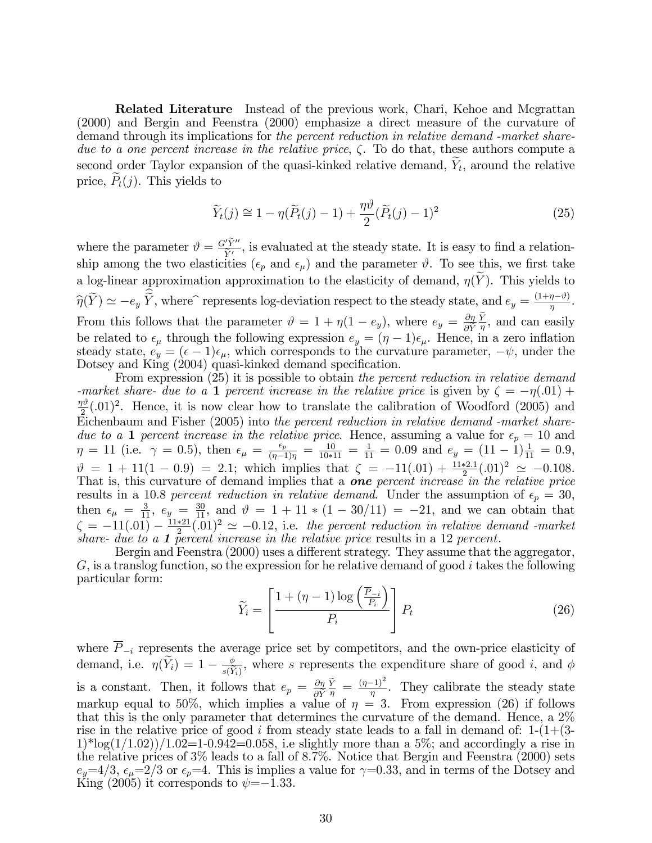Related Literature Instead of the previous work, Chari, Kehoe and Mcgrattan (2000) and Bergin and Feenstra (2000) emphasize a direct measure of the curvature of demand through its implications for the percent reduction in relative demand -market sharedue to a one percent increase in the relative price,  $\zeta$ . To do that, these authors compute a second order Taylor expansion of the quasi-kinked relative demand,  $Y_t$ , around the relative price,  $P_t(j)$ . This yields to

$$
\widetilde{Y}_t(j) \cong 1 - \eta(\widetilde{P}_t(j) - 1) + \frac{\eta \vartheta}{2} (\widetilde{P}_t(j) - 1)^2 \tag{25}
$$

where the parameter  $\vartheta = \frac{G'Y''}{\tilde{v}_I}$  $\frac{y_1^{\nu}y_2^{\nu}}{y_1^{\nu}}$ , is evaluated at the steady state. It is easy to find a relationship among the two elasticities ( $\epsilon_p$  and  $\epsilon_\mu$ ) and the parameter  $\vartheta$ . To see this, we first take a log-linear approximation approximation to the elasticity of demand,  $\eta(Y)$ . This yields to  $\widehat{\eta}(Y) \simeq -e_y \widetilde{Y}$ , where represents log-deviation respect to the steady state, and  $e_y = \frac{(1+\eta-\vartheta)}{\eta}$ . From this follows that the parameter  $\vartheta = 1 + \eta(1 - e_y)$ , where  $e_y = \frac{\partial \eta}{\partial \tilde{Y}}$  $\partial Y$  $\frac{Y}{\eta}$ , and can easily be related to  $\epsilon_{\mu}$  through the following expression  $e_y = (\eta - 1)\epsilon_{\mu}$ . Hence, in a zero inflation steady state,  $e_y = (\epsilon - 1)\epsilon_\mu$ , which corresponds to the curvature parameter,  $-\psi$ , under the Dotsey and King (2004) quasi-kinked demand specification.

From expression (25) it is possible to obtain the percent reduction in relative demand -market share- due to a 1 percent increase in the relative price is given by  $\zeta = -\eta(.01) +$  $\eta\vartheta$  $\frac{m^2}{2}$ (.01)<sup>2</sup>. Hence, it is now clear how to translate the calibration of Woodford (2005) and Eichenbaum and Fisher (2005) into the percent reduction in relative demand -market sharedue to a 1 percent increase in the relative price. Hence, assuming a value for  $\epsilon_p = 10$  and  $\eta = 11$  (i.e.  $\gamma = 0.5$ ), then  $\epsilon_{\mu} = \frac{\epsilon_p}{(\eta - 1)\eta} = \frac{10}{10*11} = \frac{1}{11} = 0.09$  and  $e_y = (11 - 1)\frac{1}{11} = 0.9$ ,  $\vartheta = 1 + 11(1 - 0.9) = 2.1$ ; which implies that  $\zeta = -11(.01) + \frac{11*2.1}{2}(.01)^2 \simeq -0.108$ . That is, this curvature of demand implies that a **one** percent increase in the relative price results in a 10.8 percent reduction in relative demand. Under the assumption of  $\epsilon_p = 30$ , then  $\epsilon_{\mu} = \frac{3}{11}$ ,  $e_y = \frac{30}{11}$ , and  $\vartheta = 1 + 11 * (1 - 30/11) = -21$ , and we can obtain that  $\zeta = -11(.01) - \frac{11*21}{2}(.01)^2 \simeq -0.12$ , i.e. the percent reduction in relative demand -market share- due to a 1 percent increase in the relative price results in a 12 percent.

Bergin and Feenstra  $(2000)$  uses a different strategy. They assume that the aggregator,  $G$ , is a translog function, so the expression for he relative demand of good i takes the following particular form:

$$
\widetilde{Y}_i = \left[ \frac{1 + (\eta - 1) \log \left( \frac{\overline{P}_{-i}}{P_i} \right)}{P_i} \right] P_t \tag{26}
$$

where  $\overline{P}_{-i}$  represents the average price set by competitors, and the own-price elasticity of demand, i.e.  $\eta(Y_i) = 1 - \frac{\phi}{s(\tilde{Y})}$  $\frac{\phi}{s(\tilde{Y}_i)}$ , where s represents the expenditure share of good *i*, and  $\phi$ is a constant. Then, it follows that  $e_p = \frac{\partial \eta}{\partial \tilde{\mathcal{W}}}$  $\partial Y$  $\frac{\tilde{Y}}{\eta} = \frac{(\eta - 1)^2}{\eta}$ . They calibrate the steady state markup equal to 50%, which implies a value of  $\eta = 3$ . From expression (26) if follows that this is the only parameter that determines the curvature of the demand. Hence, a 2% rise in the relative price of good i from steady state leads to a fall in demand of:  $1-(1+(3-1))$  $1$ <sup>\*</sup>log( $1/1.02$ )) $/1.02=1$ -0.942=0.058, i.e slightly more than a 5%; and accordingly a rise in the relative prices of 3% leads to a fall of 8:7%. Notice that Bergin and Feenstra (2000) sets  $e_y=4/3$ ,  $\epsilon_\mu=2/3$  or  $\epsilon_p=4$ . This is implies a value for  $\gamma=0.33$ , and in terms of the Dotsey and King (2005) it corresponds to  $\psi = -1.33$ .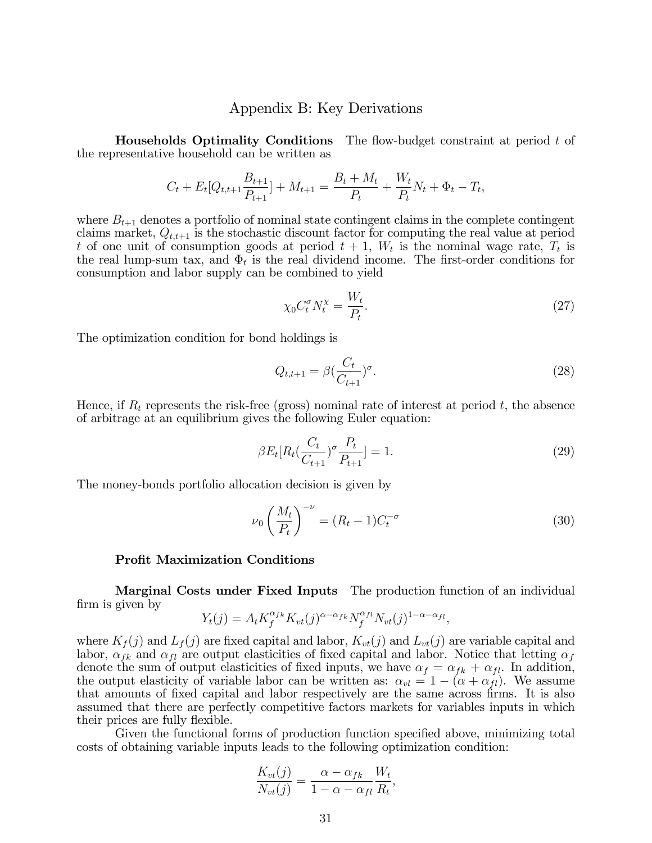### Appendix B: Key Derivations

**Households Optimality Conditions** The flow-budget constraint at period  $t$  of the representative household can be written as

$$
C_t + E_t[Q_{t,t+1} \frac{B_{t+1}}{P_{t+1}}] + M_{t+1} = \frac{B_t + M_t}{P_t} + \frac{W_t}{P_t} N_t + \Phi_t - T_t,
$$

where  $B_{t+1}$  denotes a portfolio of nominal state contingent claims in the complete contingent claims market,  $Q_{t,t+1}$  is the stochastic discount factor for computing the real value at period t of one unit of consumption goods at period  $t + 1$ ,  $W_t$  is the nominal wage rate,  $T_t$  is the real lump-sum tax, and  $\Phi_t$  is the real dividend income. The first-order conditions for consumption and labor supply can be combined to yield

$$
\chi_0 C_t^{\sigma} N_t^{\chi} = \frac{W_t}{P_t}.
$$
\n
$$
(27)
$$

The optimization condition for bond holdings is

$$
Q_{t,t+1} = \beta \left(\frac{C_t}{C_{t+1}}\right)^{\sigma}.
$$
\n(28)

Hence, if  $R_t$  represents the risk-free (gross) nominal rate of interest at period t, the absence of arbitrage at an equilibrium gives the following Euler equation:

$$
\beta E_t[R_t(\frac{C_t}{C_{t+1}})^{\sigma} \frac{P_t}{P_{t+1}}] = 1. \tag{29}
$$

The money-bonds portfolio allocation decision is given by

$$
\nu_0 \left(\frac{M_t}{P_t}\right)^{-\nu} = (R_t - 1)C_t^{-\sigma} \tag{30}
$$

#### Profit Maximization Conditions

Marginal Costs under Fixed Inputs The production function of an individual firm is given by

$$
Y_t(j) = A_t K_f^{\alpha_{fk}} K_{vt}(j)^{\alpha - \alpha_{fk}} N_f^{\alpha_{fl}} N_{vt}(j)^{1 - \alpha - \alpha_{fl}},
$$

where  $K_f(j)$  and  $L_f(j)$  are fixed capital and labor,  $K_{vt}(j)$  and  $L_{vt}(j)$  are variable capital and labor,  $\alpha_{fk}$  and  $\alpha_{fl}$  are output elasticities of fixed capital and labor. Notice that letting  $\alpha_f$ denote the sum of output elasticities of fixed inputs, we have  $\alpha_f = \alpha_{fk} + \alpha_{fl}$ . In addition, the output elasticity of variable labor can be written as:  $\alpha_{vl} = 1 - (\alpha + \alpha_{fl})$ . We assume that amounts of fixed capital and labor respectively are the same across firms. It is also assumed that there are perfectly competitive factors markets for variables inputs in which their prices are fully flexible.

Given the functional forms of production function specified above, minimizing total costs of obtaining variable inputs leads to the following optimization condition:

$$
\frac{K_{vt}(j)}{N_{vt}(j)} = \frac{\alpha - \alpha_{fk}}{1 - \alpha - \alpha_{fl}} \frac{W_t}{R_t},
$$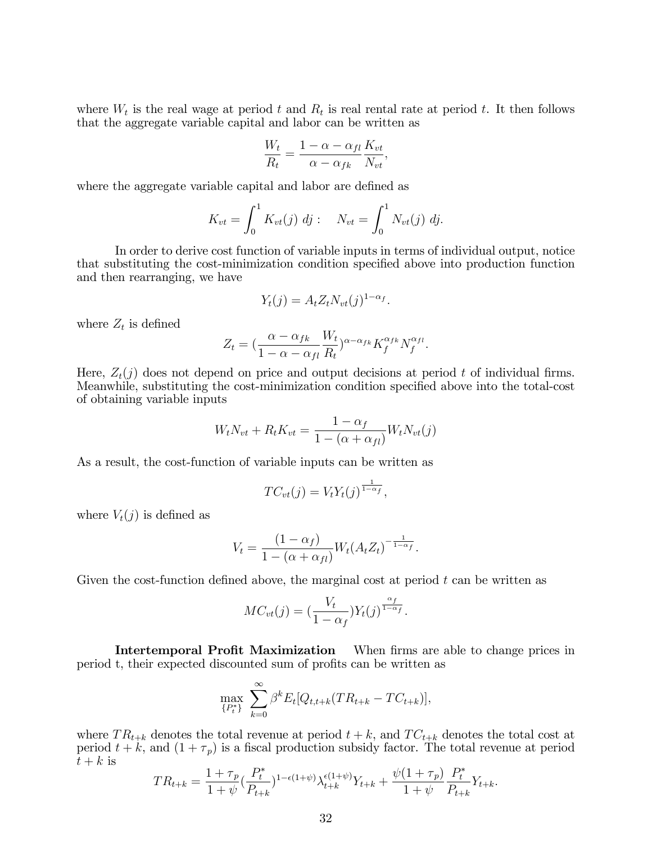where  $W_t$  is the real wage at period t and  $R_t$  is real rental rate at period t. It then follows that the aggregate variable capital and labor can be written as

$$
\frac{W_t}{R_t} = \frac{1 - \alpha - \alpha_{fl}}{\alpha - \alpha_{fk}} \frac{K_{vt}}{N_{vt}},
$$

where the aggregate variable capital and labor are defined as

$$
K_{vt} = \int_0^1 K_{vt}(j) \, dj : \quad N_{vt} = \int_0^1 N_{vt}(j) \, dj.
$$

In order to derive cost function of variable inputs in terms of individual output, notice that substituting the cost-minimization condition specified above into production function and then rearranging, we have

$$
Y_t(j) = A_t Z_t N_{vt}(j)^{1-\alpha_f}.
$$

where  $Z_t$  is defined

$$
Z_t = \left(\frac{\alpha - \alpha_{fk}}{1 - \alpha - \alpha_{fl}} \frac{W_t}{R_t}\right)^{\alpha - \alpha_{fk}} K_f^{\alpha_{fk}} N_f^{\alpha_{fl}}.
$$

Here,  $Z_t(j)$  does not depend on price and output decisions at period t of individual firms. Meanwhile, substituting the cost-minimization condition specified above into the total-cost of obtaining variable inputs

$$
W_t N_{vt} + R_t K_{vt} = \frac{1 - \alpha_f}{1 - (\alpha + \alpha_{fl})} W_t N_{vt}(j)
$$

As a result, the cost-function of variable inputs can be written as

$$
TC_{vt}(j) = V_t Y_t(j)^{\frac{1}{1-\alpha_f}},
$$

where  $V_t(j)$  is defined as

$$
V_t = \frac{(1 - \alpha_f)}{1 - (\alpha + \alpha_{fl})} W_t (A_t Z_t)^{-\frac{1}{1 - \alpha_f}}.
$$

Given the cost-function defined above, the marginal cost at period  $t$  can be written as

$$
MC_{vt}(j) = \left(\frac{V_t}{1-\alpha_f}\right)Y_t(j)^{\frac{\alpha_f}{1-\alpha_f}}.
$$

Intertemporal Profit Maximization When firms are able to change prices in period t, their expected discounted sum of profits can be written as

$$
\max_{\{P_t^*\}} \sum_{k=0}^{\infty} \beta^k E_t[Q_{t,t+k}(TR_{t+k} - TC_{t+k})],
$$

where  $TR_{t+k}$  denotes the total revenue at period  $t + k$ , and  $TC_{t+k}$  denotes the total cost at period  $t + k$ , and  $(1 + \tau_p)$  is a fiscal production subsidy factor. The total revenue at period  $t+k$  is

$$
TR_{t+k} = \frac{1+\tau_p}{1+\psi} \left(\frac{P_t^*}{P_{t+k}}\right)^{1-\epsilon(1+\psi)} \lambda_{t+k}^{\epsilon(1+\psi)} Y_{t+k} + \frac{\psi(1+\tau_p)}{1+\psi} \frac{P_t^*}{P_{t+k}} Y_{t+k}.
$$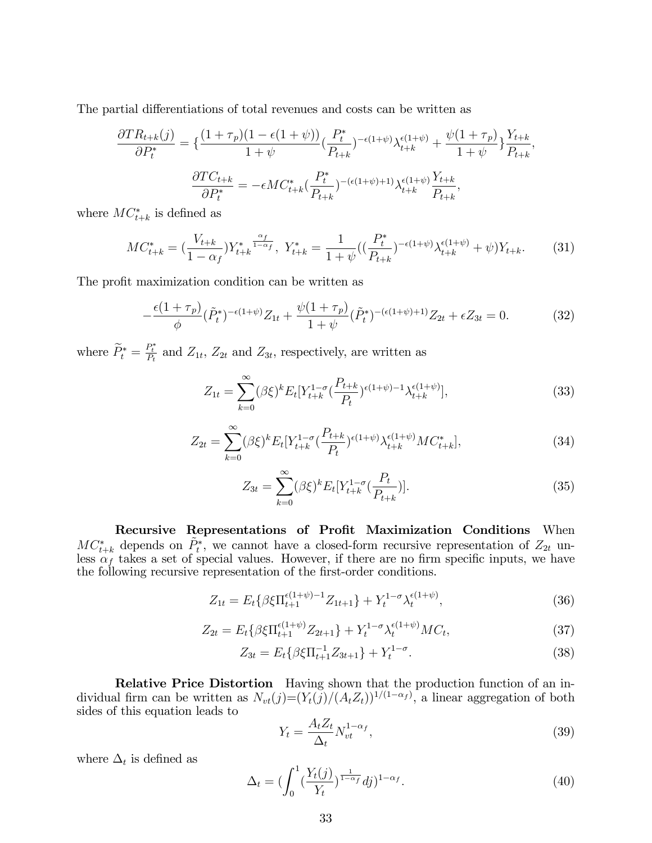The partial differentiations of total revenues and costs can be written as

$$
\frac{\partial TR_{t+k}(j)}{\partial P_t^*} = \left\{ \frac{(1+\tau_p)(1-\epsilon(1+\psi))}{1+\psi} \left( \frac{P_t^*}{P_{t+k}} \right)^{-\epsilon(1+\psi)} \lambda_{t+k}^{\epsilon(1+\psi)} + \frac{\psi(1+\tau_p)}{1+\psi} \right\} \frac{Y_{t+k}}{P_{t+k}},
$$

$$
\frac{\partial TC_{t+k}}{\partial P_t^*} = -\epsilon MC_{t+k}^* \left( \frac{P_t^*}{P_{t+k}} \right)^{-(\epsilon(1+\psi)+1)} \lambda_{t+k}^{\epsilon(1+\psi)} \frac{Y_{t+k}}{P_{t+k}},
$$

where  $MC^*_{t+k}$  is defined as

$$
MC_{t+k}^{*} = \left(\frac{V_{t+k}}{1-\alpha_f}Y_{t+k}^{*^{\frac{\alpha_f}{1-\alpha_f}}}, \ Y_{t+k}^{*} = \frac{1}{1+\psi}\left(\left(\frac{P_t^{*}}{P_{t+k}}\right)^{-\epsilon(1+\psi)}\lambda_{t+k}^{\epsilon(1+\psi)} + \psi\right)Y_{t+k}.\right)
$$
(31)

The profit maximization condition can be written as

$$
-\frac{\epsilon (1+\tau_p)}{\phi} (\tilde{P}_t^*)^{-\epsilon (1+\psi)} Z_{1t} + \frac{\psi (1+\tau_p)}{1+\psi} (\tilde{P}_t^*)^{-(\epsilon (1+\psi)+1)} Z_{2t} + \epsilon Z_{3t} = 0.
$$
 (32)

where  $\widetilde{P}_t^* = \frac{P_t^*}{P_t}$  and  $Z_{1t}$ ,  $Z_{2t}$  and  $Z_{3t}$ , respectively, are written as

$$
Z_{1t} = \sum_{k=0}^{\infty} (\beta \xi)^k E_t [Y_{t+k}^{1-\sigma} (\frac{P_{t+k}}{P_t})^{\epsilon(1+\psi)-1} \lambda_{t+k}^{\epsilon(1+\psi)}], \tag{33}
$$

$$
Z_{2t} = \sum_{k=0}^{\infty} (\beta \xi)^k E_t[Y_{t+k}^{1-\sigma} \left( \frac{P_{t+k}}{P_t} \right)^{\epsilon(1+\psi)} \lambda_{t+k}^{\epsilon(1+\psi)} MC_{t+k}^*],\tag{34}
$$

$$
Z_{3t} = \sum_{k=0}^{\infty} (\beta \xi)^k E_t[Y_{t+k}^{1-\sigma}(\frac{P_t}{P_{t+k}})].
$$
\n(35)

Recursive Representations of Profit Maximization Conditions When  $MC^*_{t+k}$  depends on  $\tilde{P}_t^*$ , we cannot have a closed-form recursive representation of  $Z_{2t}$  unless  $\alpha_f$  takes a set of special values. However, if there are no firm specific inputs, we have the following recursive representation of the first-order conditions.

$$
Z_{1t} = E_t \{ \beta \xi \Pi_{t+1}^{\epsilon(1+\psi)-1} Z_{1t+1} \} + Y_t^{1-\sigma} \lambda_t^{\epsilon(1+\psi)}, \tag{36}
$$

$$
Z_{2t} = E_t \{ \beta \xi \Pi_{t+1}^{\epsilon(1+\psi)} Z_{2t+1} \} + Y_t^{1-\sigma} \lambda_t^{\epsilon(1+\psi)} M C_t, \tag{37}
$$

$$
Z_{3t} = E_t \{ \beta \xi \Pi_{t+1}^{-1} Z_{3t+1} \} + Y_t^{1-\sigma}.
$$
 (38)

Relative Price Distortion Having shown that the production function of an individual firm can be written as  $N_{vt}(j)=(Y_t(j)/(A_t Z_t))^{1/(1-\alpha_f)}$ , a linear aggregation of both sides of this equation leads to

$$
Y_t = \frac{A_t Z_t}{\Delta_t} N_{vt}^{1-\alpha_f},\tag{39}
$$

where  $\Delta_t$  is defined as

$$
\Delta_t = \left(\int_0^1 \left(\frac{Y_t(j)}{Y_t}\right)^{\frac{1}{1-\alpha_f}} dj\right)^{1-\alpha_f}.
$$
\n(40)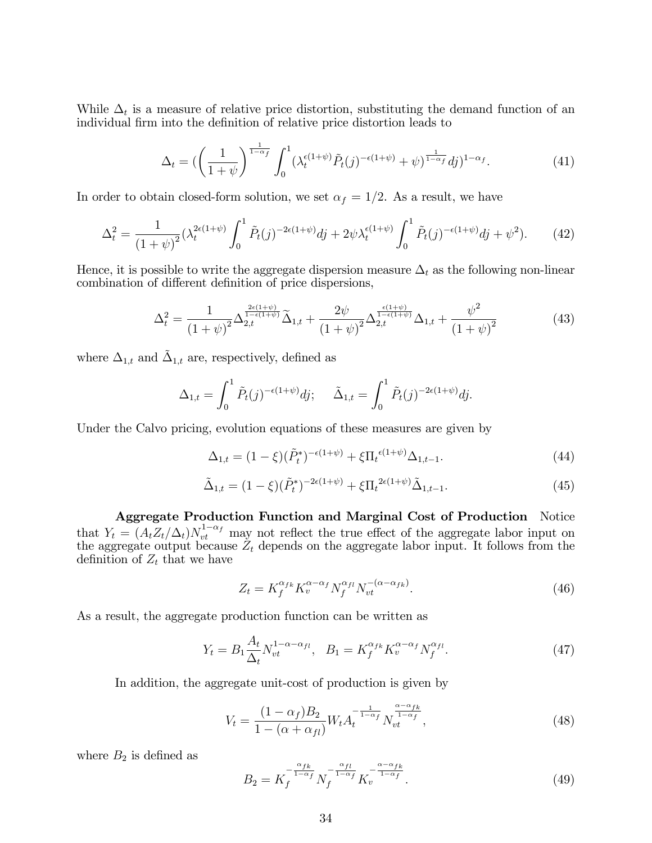While  $\Delta_t$  is a measure of relative price distortion, substituting the demand function of an individual firm into the definition of relative price distortion leads to

$$
\Delta_t = \left( \left( \frac{1}{1+\psi} \right)^{\frac{1}{1-\alpha_f}} \int_0^1 (\lambda_t^{\epsilon(1+\psi)} \tilde{P}_t(j)^{-\epsilon(1+\psi)} + \psi)^{\frac{1}{1-\alpha_f}} dj)^{1-\alpha_f} . \tag{41}
$$

In order to obtain closed-form solution, we set  $\alpha_f = 1/2$ . As a result, we have

$$
\Delta_t^2 = \frac{1}{(1+\psi)^2} (\lambda_t^{2\epsilon(1+\psi)} \int_0^1 \tilde{P}_t(j)^{-2\epsilon(1+\psi)} dj + 2\psi \lambda_t^{\epsilon(1+\psi)} \int_0^1 \tilde{P}_t(j)^{-\epsilon(1+\psi)} dj + \psi^2). \tag{42}
$$

Hence, it is possible to write the aggregate dispersion measure  $\Delta_t$  as the following non-linear combination of different definition of price dispersions,

$$
\Delta_t^2 = \frac{1}{\left(1+\psi\right)^2} \Delta_{2,t}^{\frac{2\epsilon(1+\psi)}{1-\epsilon(1+\psi)}} \widetilde{\Delta}_{1,t} + \frac{2\psi}{\left(1+\psi\right)^2} \Delta_{2,t}^{\frac{\epsilon(1+\psi)}{1-\epsilon(1+\psi)}} \Delta_{1,t} + \frac{\psi^2}{\left(1+\psi\right)^2} \tag{43}
$$

where  $\Delta_{1,t}$  and  $\tilde{\Delta}_{1,t}$  are, respectively, defined as

$$
\Delta_{1,t} = \int_0^1 \tilde{P}_t(j)^{-\epsilon(1+\psi)} dj; \quad \tilde{\Delta}_{1,t} = \int_0^1 \tilde{P}_t(j)^{-2\epsilon(1+\psi)} dj.
$$

Under the Calvo pricing, evolution equations of these measures are given by

$$
\Delta_{1,t} = (1 - \xi)(\tilde{P}_t^*)^{-\epsilon(1+\psi)} + \xi \Pi_t^{\epsilon(1+\psi)} \Delta_{1,t-1}.
$$
\n(44)

$$
\tilde{\Delta}_{1,t} = (1 - \xi)(\tilde{P}_t^*)^{-2\epsilon(1+\psi)} + \xi \Pi_t^{2\epsilon(1+\psi)} \tilde{\Delta}_{1,t-1}.
$$
\n(45)

Aggregate Production Function and Marginal Cost of Production Notice that  $Y_t = (A_t Z_t/\Delta_t) N_{vt}^{1-\alpha_f}$  may not reflect the true effect of the aggregate labor input on the aggregate output because  $Z_t$  depends on the aggregate labor input. It follows from the definition of  $Z_t$  that we have

$$
Z_t = K_f^{\alpha_{fk}} K_v^{\alpha - \alpha_f} N_f^{\alpha_{fl}} N_{vt}^{-(\alpha - \alpha_{fk})}.
$$
\n(46)

As a result, the aggregate production function can be written as

$$
Y_t = B_1 \frac{A_t}{\Delta_t} N_{vt}^{1-\alpha-\alpha_{fl}}, \quad B_1 = K_f^{\alpha_{fk}} K_v^{\alpha-\alpha_f} N_f^{\alpha_{fl}}.
$$
 (47)

In addition, the aggregate unit-cost of production is given by

$$
V_t = \frac{(1 - \alpha_f)B_2}{1 - (\alpha + \alpha_{fl})} W_t A_t^{-\frac{1}{1 - \alpha_f}} N_{vt}^{\frac{\alpha - \alpha_{fk}}{1 - \alpha_f}},
$$
\n(48)

where  $B_2$  is defined as

$$
B_2 = K_f^{-\frac{\alpha_{fk}}{1-\alpha_f}} N_f^{-\frac{\alpha_{fl}}{1-\alpha_f}} K_v^{-\frac{\alpha-\alpha_{fk}}{1-\alpha_f}}.
$$
\n(49)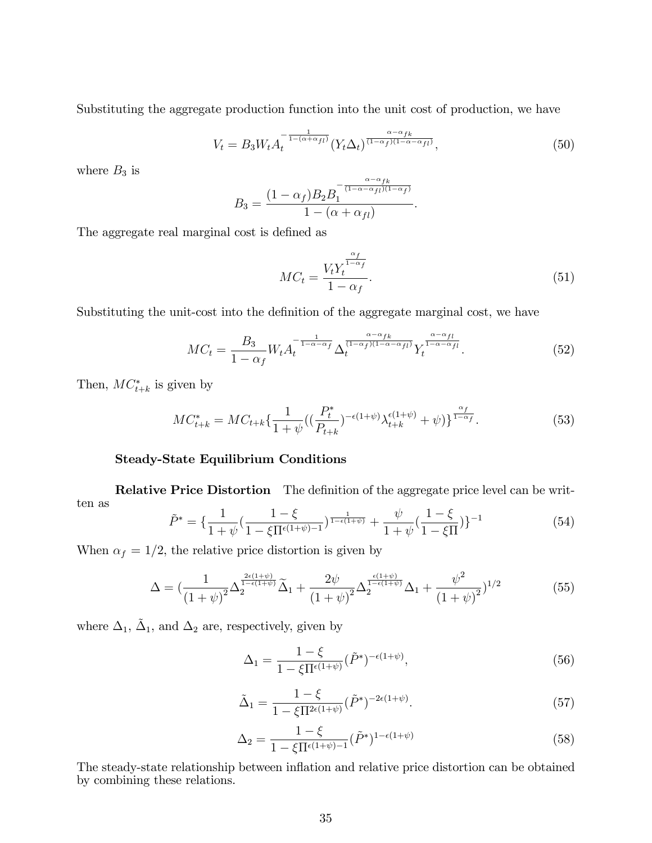Substituting the aggregate production function into the unit cost of production, we have

$$
V_t = B_3 W_t A_t^{-\frac{1}{1 - (\alpha + \alpha_{fl})}} (Y_t \Delta_t)^{\frac{\alpha - \alpha_{fk}}{(1 - \alpha_f)(1 - \alpha - \alpha_{fl})}}, \tag{50}
$$

where  $B_3$  is

$$
B_3 = \frac{(1 - \alpha_f)B_2B_1^{-\frac{\alpha - \alpha_{fk}}{(1 - \alpha - \alpha_{fl})(1 - \alpha_f)}}}{1 - (\alpha + \alpha_{fl})}.
$$

The aggregate real marginal cost is defined as

$$
MC_t = \frac{V_t Y_t^{\frac{\alpha_f}{1 - \alpha_f}}}{1 - \alpha_f}.
$$
\n
$$
(51)
$$

Substituting the unit-cost into the definition of the aggregate marginal cost, we have

$$
MC_t = \frac{B_3}{1 - \alpha_f} W_t A_t^{-\frac{1}{1 - \alpha - \alpha_f}} \Delta_t^{\frac{\alpha - \alpha_{fk}}{(1 - \alpha_f)(1 - \alpha - \alpha_{fl})}} Y_t^{\frac{\alpha - \alpha_{fl}}{1 - \alpha - \alpha_{fl}}}.
$$
(52)

Then,  $MC^*_{t+k}$  is given by

$$
MC_{t+k}^{*} = MC_{t+k}\left\{\frac{1}{1+\psi}\left(\left(\frac{P_t^{*}}{P_{t+k}}\right)^{-\epsilon(1+\psi)}\lambda_{t+k}^{\epsilon(1+\psi)}+\psi\right)\right\}^{\frac{\alpha_{f}}{1-\alpha_{f}}}. \tag{53}
$$

### Steady-State Equilibrium Conditions

**Relative Price Distortion** The definition of the aggregate price level can be written as  $\overline{1}$ 

$$
\tilde{P}^* = \left\{ \frac{1}{1+\psi} \left( \frac{1-\xi}{1-\xi \Pi^{\epsilon(1+\psi)-1}} \right)^{\frac{1}{1-\epsilon(1+\psi)}} + \frac{\psi}{1+\psi} \left( \frac{1-\xi}{1-\xi \Pi} \right) \right\}^{-1} \tag{54}
$$

When  $\alpha_f = 1/2$ , the relative price distortion is given by

$$
\Delta = \left(\frac{1}{\left(1+\psi\right)^2} \Delta_2^{\frac{2\epsilon(1+\psi)}{1-\epsilon(1+\psi)}} \widetilde{\Delta}_1 + \frac{2\psi}{\left(1+\psi\right)^2} \Delta_2^{\frac{\epsilon(1+\psi)}{1-\epsilon(1+\psi)}} \Delta_1 + \frac{\psi^2}{\left(1+\psi\right)^2} \right)^{1/2} \tag{55}
$$

where  $\Delta_1$ ,  $\tilde{\Delta}_1$ , and  $\Delta_2$  are, respectively, given by

$$
\Delta_1 = \frac{1 - \xi}{1 - \xi \Pi^{\epsilon(1+\psi)}} (\tilde{P}^*)^{-\epsilon(1+\psi)},\tag{56}
$$

$$
\tilde{\Delta}_1 = \frac{1 - \xi}{1 - \xi \Pi^{2\epsilon(1+\psi)}} (\tilde{P}^*)^{-2\epsilon(1+\psi)}.
$$
\n(57)

$$
\Delta_2 = \frac{1 - \xi}{1 - \xi \Pi^{\epsilon (1 + \psi) - 1}} (\tilde{P}^*)^{1 - \epsilon (1 + \psi)}
$$
(58)

The steady-state relationship between inflation and relative price distortion can be obtained by combining these relations.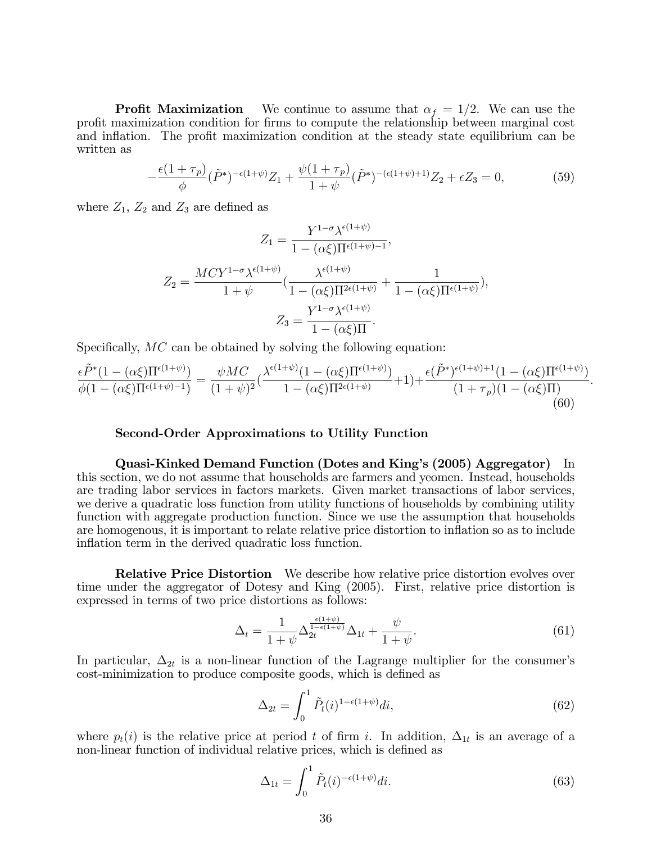**Profit Maximization** We continue to assume that  $\alpha_f = 1/2$ . We can use the profit maximization condition for firms to compute the relationship between marginal cost and inflation. The profit maximization condition at the steady state equilibrium can be written as

$$
-\frac{\epsilon (1+\tau_p)}{\phi}(\tilde{P}^*)^{-\epsilon (1+\psi)}Z_1 + \frac{\psi(1+\tau_p)}{1+\psi}(\tilde{P}^*)^{-(\epsilon (1+\psi)+1)}Z_2 + \epsilon Z_3 = 0,
$$
\n(59)

where  $Z_1$ ,  $Z_2$  and  $Z_3$  are defined as

$$
Z_1 = \frac{Y^{1-\sigma} \lambda^{\epsilon(1+\psi)}}{1 - (\alpha \xi) \Pi^{\epsilon(1+\psi)-1}},
$$
  

$$
Z_2 = \frac{M C Y^{1-\sigma} \lambda^{\epsilon(1+\psi)}}{1 + \psi} \left( \frac{\lambda^{\epsilon(1+\psi)}}{1 - (\alpha \xi) \Pi^{2\epsilon(1+\psi)}} + \frac{1}{1 - (\alpha \xi) \Pi^{\epsilon(1+\psi)}} \right),
$$
  

$$
Z_3 = \frac{Y^{1-\sigma} \lambda^{\epsilon(1+\psi)}}{1 - (\alpha \xi) \Pi}.
$$

Specifically,  $MC$  can be obtained by solving the following equation:

$$
\frac{\epsilon \tilde{P}^*(1 - (\alpha \xi) \Pi^{\epsilon(1+\psi)})}{\phi(1 - (\alpha \xi) \Pi^{\epsilon(1+\psi)-1})} = \frac{\psi MC}{(1+\psi)^2} (\frac{\lambda^{\epsilon(1+\psi)}(1 - (\alpha \xi) \Pi^{\epsilon(1+\psi)})}{1 - (\alpha \xi) \Pi^{2\epsilon(1+\psi)}} + 1) + \frac{\epsilon (\tilde{P}^*)^{\epsilon(1+\psi)+1} (1 - (\alpha \xi) \Pi^{\epsilon(1+\psi)})}{(1+\tau_p)(1 - (\alpha \xi) \Pi)}.
$$
\n(60)

#### Second-Order Approximations to Utility Function

Quasi-Kinked Demand Function (Dotes and Kingís (2005) Aggregator) In this section, we do not assume that households are farmers and yeomen. Instead, households are trading labor services in factors markets. Given market transactions of labor services, we derive a quadratic loss function from utility functions of households by combining utility function with aggregate production function. Since we use the assumption that households are homogenous, it is important to relate relative price distortion to inflation so as to include inflation term in the derived quadratic loss function.

Relative Price Distortion We describe how relative price distortion evolves over time under the aggregator of Dotesy and King (2005). First, relative price distortion is expressed in terms of two price distortions as follows:

$$
\Delta_t = \frac{1}{1+\psi} \Delta_{2t}^{\frac{\epsilon(1+\psi)}{1-\epsilon(1+\psi)}} \Delta_{1t} + \frac{\psi}{1+\psi}.\tag{61}
$$

In particular,  $\Delta_{2t}$  is a non-linear function of the Lagrange multiplier for the consumer's cost-minimization to produce composite goods, which is defined as

$$
\Delta_{2t} = \int_0^1 \tilde{P}_t(i)^{1-\epsilon(1+\psi)} di,\tag{62}
$$

where  $p_t(i)$  is the relative price at period t of firm i. In addition,  $\Delta_{1t}$  is an average of a non-linear function of individual relative prices, which is defined as

$$
\Delta_{1t} = \int_0^1 \tilde{P}_t(i)^{-\epsilon(1+\psi)} di.
$$
\n(63)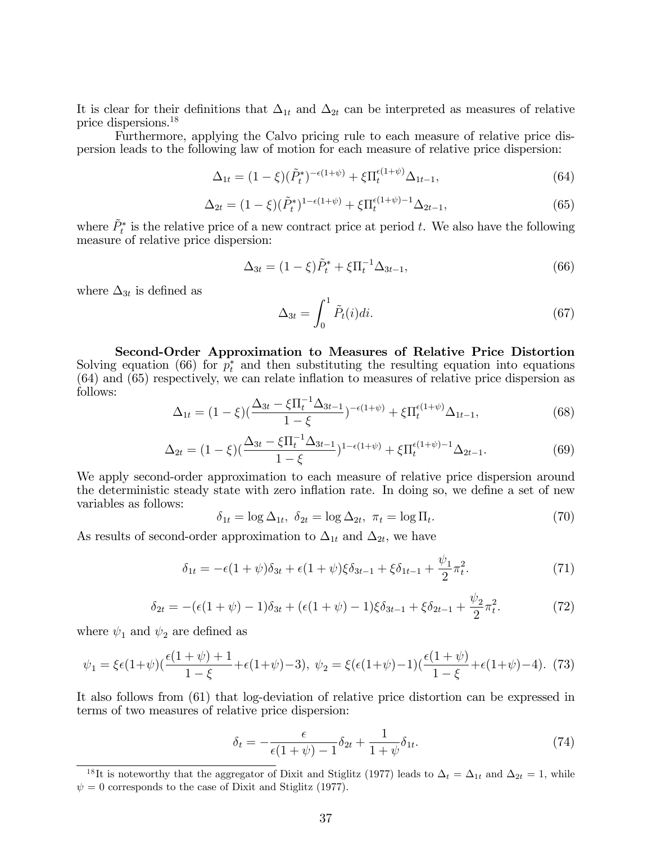It is clear for their definitions that  $\Delta_{1t}$  and  $\Delta_{2t}$  can be interpreted as measures of relative price dispersions.<sup>18</sup>

Furthermore, applying the Calvo pricing rule to each measure of relative price dispersion leads to the following law of motion for each measure of relative price dispersion:

$$
\Delta_{1t} = (1 - \xi)(\tilde{P}_t^*)^{-\epsilon(1 + \psi)} + \xi \Pi_t^{\epsilon(1 + \psi)} \Delta_{1t - 1},
$$
\n(64)

$$
\Delta_{2t} = (1 - \xi)(\tilde{P}_t^*)^{1 - \epsilon(1 + \psi)} + \xi \Pi_t^{\epsilon(1 + \psi) - 1} \Delta_{2t - 1},\tag{65}
$$

where  $\tilde{P}_t^*$  is the relative price of a new contract price at period t. We also have the following measure of relative price dispersion:

$$
\Delta_{3t} = (1 - \xi)\tilde{P}_t^* + \xi \Pi_t^{-1} \Delta_{3t-1},\tag{66}
$$

where  $\Delta_{3t}$  is defined as

$$
\Delta_{3t} = \int_0^1 \tilde{P}_t(i)di.
$$
\n(67)

Second-Order Approximation to Measures of Relative Price Distortion Solving equation (66) for  $p_t^*$  and then substituting the resulting equation into equations  $(64)$  and  $(65)$  respectively, we can relate inflation to measures of relative price dispersion as follows:

$$
\Delta_{1t} = (1 - \xi) \left( \frac{\Delta_{3t} - \xi \Pi_t^{-1} \Delta_{3t-1}}{1 - \xi} \right)^{-\epsilon (1 + \psi)} + \xi \Pi_t^{\epsilon (1 + \psi)} \Delta_{1t-1},\tag{68}
$$

$$
\Delta_{2t} = (1 - \xi) \left( \frac{\Delta_{3t} - \xi \Pi_t^{-1} \Delta_{3t-1}}{1 - \xi} \right)^{1 - \epsilon (1 + \psi)} + \xi \Pi_t^{\epsilon (1 + \psi) - 1} \Delta_{2t-1}.
$$
\n(69)

We apply second-order approximation to each measure of relative price dispersion around the deterministic steady state with zero inflation rate. In doing so, we define a set of new variables as follows:

$$
\delta_{1t} = \log \Delta_{1t}, \ \delta_{2t} = \log \Delta_{2t}, \ \pi_t = \log \Pi_t. \tag{70}
$$

As results of second-order approximation to  $\Delta_{1t}$  and  $\Delta_{2t}$ , we have

$$
\delta_{1t} = -\epsilon (1+\psi)\delta_{3t} + \epsilon (1+\psi)\xi \delta_{3t-1} + \xi \delta_{1t-1} + \frac{\psi_1}{2}\pi_t^2. \tag{71}
$$

$$
\delta_{2t} = -(\epsilon(1+\psi) - 1)\delta_{3t} + (\epsilon(1+\psi) - 1)\xi\delta_{3t-1} + \xi\delta_{2t-1} + \frac{\psi_2}{2}\pi_t^2. \tag{72}
$$

where  $\psi_1$  and  $\psi_2$  are defined as

$$
\psi_1 = \xi \epsilon (1 + \psi) \left( \frac{\epsilon (1 + \psi) + 1}{1 - \xi} + \epsilon (1 + \psi) - 3 \right), \ \psi_2 = \xi \left( \epsilon (1 + \psi) - 1 \right) \left( \frac{\epsilon (1 + \psi)}{1 - \xi} + \epsilon (1 + \psi) - 4 \right). \tag{73}
$$

It also follows from (61) that log-deviation of relative price distortion can be expressed in terms of two measures of relative price dispersion:

$$
\delta_t = -\frac{\epsilon}{\epsilon(1+\psi)-1}\delta_{2t} + \frac{1}{1+\psi}\delta_{1t}.\tag{74}
$$

<sup>&</sup>lt;sup>18</sup>It is noteworthy that the aggregator of Dixit and Stiglitz (1977) leads to  $\Delta_t = \Delta_{1t}$  and  $\Delta_{2t} = 1$ , while  $\psi = 0$  corresponds to the case of Dixit and Stiglitz (1977).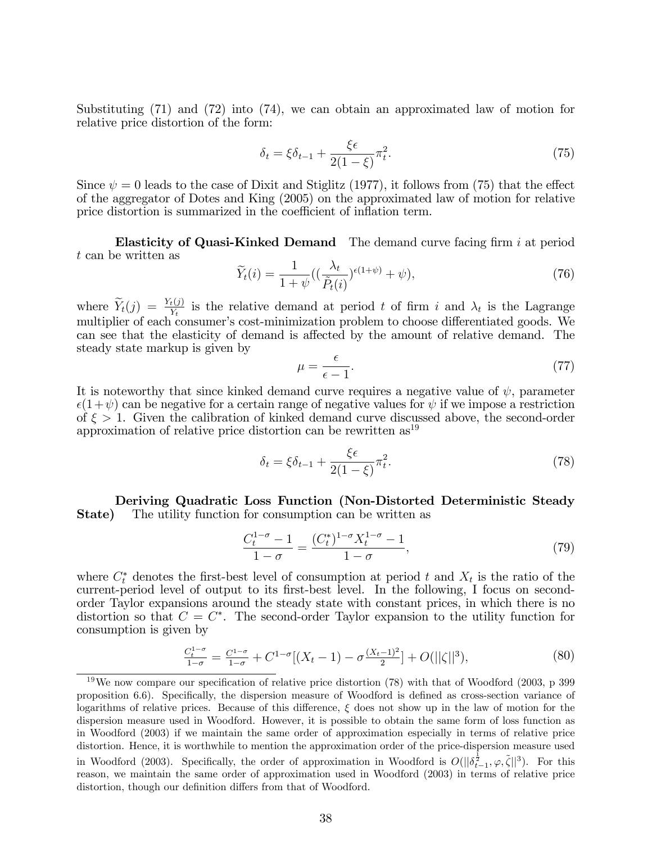Substituting (71) and (72) into (74), we can obtain an approximated law of motion for relative price distortion of the form:

$$
\delta_t = \xi \delta_{t-1} + \frac{\xi \epsilon}{2(1-\xi)} \pi_t^2.
$$
\n(75)

Since  $\psi = 0$  leads to the case of Dixit and Stiglitz (1977), it follows from (75) that the effect of the aggregator of Dotes and King (2005) on the approximated law of motion for relative price distortion is summarized in the coefficient of inflation term.

**Elasticity of Quasi-Kinked Demand** The demand curve facing firm i at period t can be written as

$$
\widetilde{Y}_t(i) = \frac{1}{1+\psi} \left( \left( \frac{\lambda_t}{\widetilde{P}_t(i)} \right)^{\epsilon(1+\psi)} + \psi \right),\tag{76}
$$

where  $\widetilde{Y}_t(j) = \frac{Y_t(j)}{Y_t}$  is the relative demand at period t of firm i and  $\lambda_t$  is the Lagrange multiplier of each consumer's cost-minimization problem to choose differentiated goods. We can see that the elasticity of demand is affected by the amount of relative demand. The steady state markup is given by

$$
\mu = \frac{\epsilon}{\epsilon - 1}.\tag{77}
$$

It is noteworthy that since kinked demand curve requires a negative value of  $\psi$ , parameter  $\epsilon(1+\psi)$  can be negative for a certain range of negative values for  $\psi$  if we impose a restriction of  $\xi > 1$ . Given the calibration of kinked demand curve discussed above, the second-order approximation of relative price distortion can be rewritten  $as<sup>19</sup>$ 

$$
\delta_t = \xi \delta_{t-1} + \frac{\xi \epsilon}{2(1-\xi)} \pi_t^2. \tag{78}
$$

Deriving Quadratic Loss Function (Non-Distorted Deterministic Steady **State)** The utility function for consumption can be written as

$$
\frac{C_t^{1-\sigma} - 1}{1 - \sigma} = \frac{(C_t^*)^{1-\sigma} X_t^{1-\sigma} - 1}{1 - \sigma},\tag{79}
$$

where  $C_t^*$  denotes the first-best level of consumption at period t and  $X_t$  is the ratio of the current-period level of output to its first-best level. In the following, I focus on secondorder Taylor expansions around the steady state with constant prices, in which there is no distortion so that  $C = C^*$ . The second-order Taylor expansion to the utility function for consumption is given by

$$
\frac{C_t^{1-\sigma}}{1-\sigma} = \frac{C^{1-\sigma}}{1-\sigma} + C^{1-\sigma}[(X_t - 1) - \sigma \frac{(X_t - 1)^2}{2}] + O(||\zeta||^3),\tag{80}
$$

<sup>&</sup>lt;sup>19</sup>We now compare our specification of relative price distortion (78) with that of Woodford (2003, p 399 proposition 6.6). Specifically, the dispersion measure of Woodford is defined as cross-section variance of logarithms of relative prices. Because of this difference,  $\xi$  does not show up in the law of motion for the dispersion measure used in Woodford. However, it is possible to obtain the same form of loss function as in Woodford (2003) if we maintain the same order of approximation especially in terms of relative price distortion. Hence, it is worthwhile to mention the approximation order of the price-dispersion measure used in Woodford (2003). Specifically, the order of approximation in Woodford is  $O(||\delta_{t-1}^{\frac{1}{2}}, \varphi, \tilde{\zeta}||^3)$ . For this reason, we maintain the same order of approximation used in Woodford (2003) in terms of relative price distortion, though our definition differs from that of Woodford.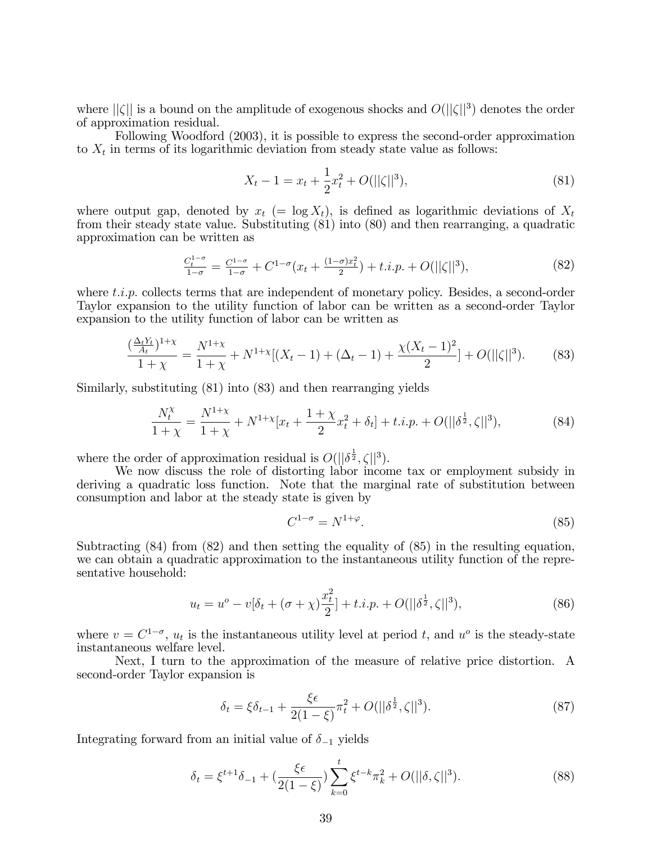where  $||\zeta||$  is a bound on the amplitude of exogenous shocks and  $O(||\zeta||^3)$  denotes the order of approximation residual.

Following Woodford (2003), it is possible to express the second-order approximation to  $X_t$  in terms of its logarithmic deviation from steady state value as follows:

$$
X_t - 1 = x_t + \frac{1}{2}x_t^2 + O(||\zeta||^3),\tag{81}
$$

where output gap, denoted by  $x_t$  (= log  $X_t$ ), is defined as logarithmic deviations of  $X_t$ from their steady state value. Substituting (81) into (80) and then rearranging, a quadratic approximation can be written as

$$
\frac{C_t^{1-\sigma}}{1-\sigma} = \frac{C^{1-\sigma}}{1-\sigma} + C^{1-\sigma}(x_t + \frac{(1-\sigma)x_t^2}{2}) + t.i.p. + O(||\zeta||^3),\tag{82}
$$

where  $t.i.p.$  collects terms that are independent of monetary policy. Besides, a second-order Taylor expansion to the utility function of labor can be written as a second-order Taylor expansion to the utility function of labor can be written as

$$
\frac{\left(\frac{\Delta_t Y_t}{A_t}\right)^{1+\chi}}{1+\chi} = \frac{N^{1+\chi}}{1+\chi} + N^{1+\chi}[(X_t - 1) + (\Delta_t - 1) + \frac{\chi(X_t - 1)^2}{2}] + O(||\zeta||^3). \tag{83}
$$

Similarly, substituting (81) into (83) and then rearranging yields

$$
\frac{N_t^{\chi}}{1+\chi} = \frac{N^{1+\chi}}{1+\chi} + N^{1+\chi}[x_t + \frac{1+\chi}{2}x_t^2 + \delta_t] + t.i.p. + O(||\delta^{\frac{1}{2}}, \zeta||^3),\tag{84}
$$

where the order of approximation residual is  $O(||\delta^{\frac{1}{2}}, \zeta||^3)$ .

We now discuss the role of distorting labor income tax or employment subsidy in deriving a quadratic loss function. Note that the marginal rate of substitution between consumption and labor at the steady state is given by

$$
C^{1-\sigma} = N^{1+\varphi}.\tag{85}
$$

Subtracting  $(84)$  from  $(82)$  and then setting the equality of  $(85)$  in the resulting equation, we can obtain a quadratic approximation to the instantaneous utility function of the representative household:

$$
u_t = u^o - v[\delta_t + (\sigma + \chi)\frac{x_t^2}{2}] + t.i.p. + O(||\delta^{\frac{1}{2}}, \zeta||^3),
$$
\n(86)

where  $v = C^{1-\sigma}$ ,  $u_t$  is the instantaneous utility level at period t, and  $u^{\sigma}$  is the steady-state instantaneous welfare level.

Next, I turn to the approximation of the measure of relative price distortion. A second-order Taylor expansion is

$$
\delta_t = \xi \delta_{t-1} + \frac{\xi \epsilon}{2(1-\xi)} \pi_t^2 + O(||\delta^{\frac{1}{2}}, \zeta||^3). \tag{87}
$$

Integrating forward from an initial value of  $\delta_{-1}$  yields

$$
\delta_t = \xi^{t+1} \delta_{-1} + \left(\frac{\xi \epsilon}{2(1-\xi)}\right) \sum_{k=0}^t \xi^{t-k} \pi_k^2 + O(||\delta, \zeta||^3). \tag{88}
$$